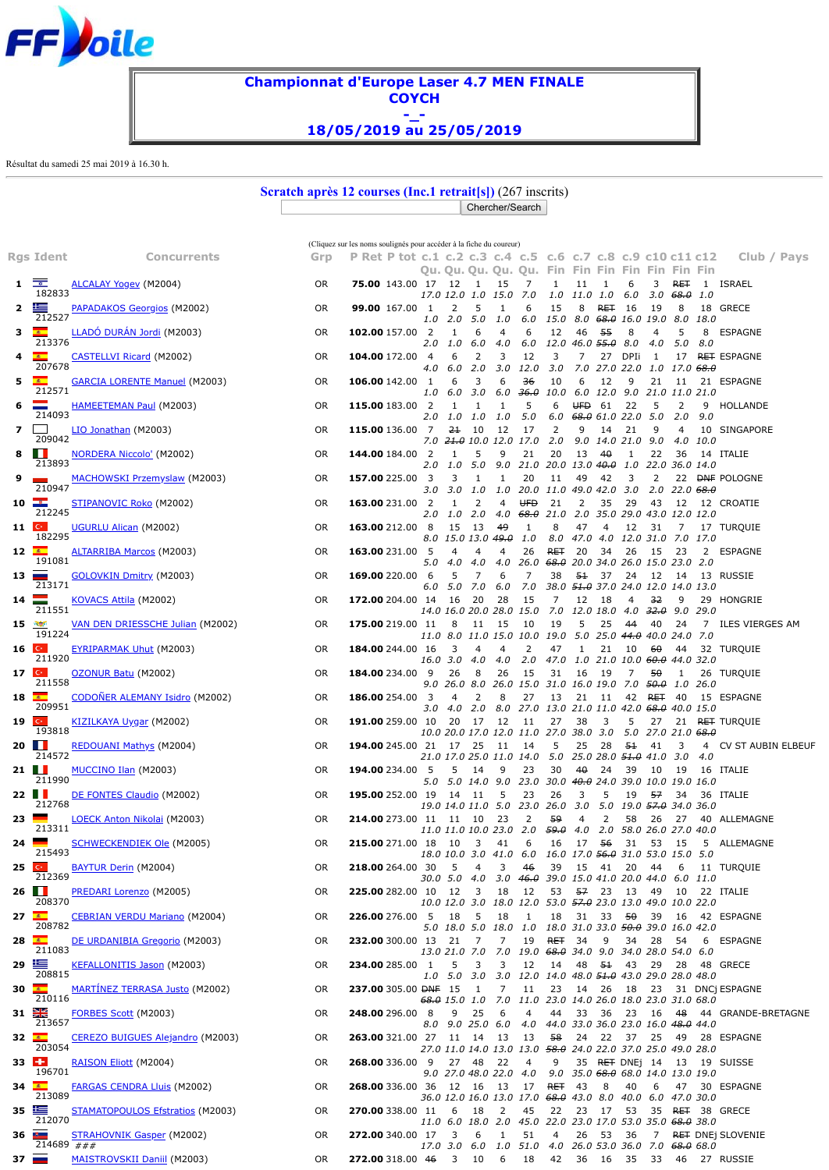<span id="page-0-0"></span>

## **Championnat d'Europe Laser 4.7 MEN FINALE COYCH -\_- 18/05/2019 au 25/05/2019**

Résultat du samedi 25 mai 2019 à 16.30 h.

**Scratch après 12 courses (Inc.1 retrait[s])** (267 inscrits) Chercher/Search

|                     |                          |                                       |           | (Cliquez sur les noms soulignés pour accéder à la fiche du coureur) |                |                     |                          |                                |                                                                            |                                                    |                          |      |                                        |                                        |                                                    |      |                                                  |
|---------------------|--------------------------|---------------------------------------|-----------|---------------------------------------------------------------------|----------------|---------------------|--------------------------|--------------------------------|----------------------------------------------------------------------------|----------------------------------------------------|--------------------------|------|----------------------------------------|----------------------------------------|----------------------------------------------------|------|--------------------------------------------------|
|                     | Rgs Ident                | <b>Concurrents</b>                    | Grp       | P Ret P tot c.1 c.2 c.3 c.4 c.5 c.6 c.7 c.8 c.9 c10 c11 c12         |                |                     |                          |                                |                                                                            |                                                    |                          |      |                                        |                                        |                                                    |      | Club / Pays                                      |
|                     |                          |                                       |           |                                                                     |                |                     |                          |                                | Qu. Qu. Qu. Qu. Qu. Fin Fin Fin Fin Fin Fin Fin                            |                                                    |                          |      |                                        |                                        |                                                    |      |                                                  |
| 1.                  | ⊡<br>182833              | <u>ALCALAY Yogev</u> (M2004)          | <b>OR</b> | <b>75.00</b> 143.00 17 12                                           |                | 17.0 12.0 1.0       | $\overline{\phantom{a}}$ | 15<br>15.0                     | 7<br>7.0                                                                   | 1                                                  | 11<br>1.0 11.0 1.0       | 1    | 6<br>6.0                               | 3                                      | <b>RET</b><br>3.0 <del>68.0</del>                  | 1.0  | 1 ISRAEL                                         |
|                     | 丰                        | <b>PAPADAKOS Georgios</b> (M2002)     | OR.       | <b>99.00</b> 167.00 1                                               |                | 2                   | 5                        | 1                              | 6                                                                          | 15                                                 | 8                        | RET  | 16                                     | 19                                     | 8                                                  |      | 18 GRECE                                         |
|                     | 212527                   |                                       |           |                                                                     | 1.0            | 2.0 5.0             |                          | 1.0                            | 6.0                                                                        |                                                    | 15.0 8.0 <del>68.0</del> |      |                                        |                                        | 16.0 19.0 8.0 18.0                                 |      |                                                  |
| з                   | <b>COLLECT</b><br>213376 | LLADÓ DURÁN Jordi (M2003)             | 0R        | 102.00 157.00 2                                                     | 2.0            | 1<br>1.0 6.0        | 6                        | 4<br>4.0                       | 6<br>6.0                                                                   | 12<br>12.0 46.0 <del>55.0</del> 8.0                | 46                       | -55  | 8                                      | $\overline{4}$<br>4.0                  | 5<br>5.0 8.0                                       | 8    | ESPAGNE                                          |
| 4                   | $\mathbf{A}$             | <b>CASTELLVI Ricard (M2002)</b>       | 0R        | <b>104.00</b> 172.00                                                | $\overline{4}$ | 6                   | 2                        | 3                              | 12                                                                         | 3                                                  | 7                        | 27   | DPIi                                   | -1                                     | 17                                                 |      | <b>RET ESPAGNE</b>                               |
| 5                   | 207678<br>$\mathbf{A}$   |                                       | 0R        | <b>106.00</b> 142.00 1                                              | 4.0            | $6.0\quad 2.0$<br>6 | 3                        | 3.0<br>6                       | 12.0<br>36                                                                 | 3.0<br>10                                          | 6                        | 12   | 9                                      | 21                                     | 7.0 27.0 22.0 1.0 17.0 <del>68.0</del><br>- 11     |      | 21 ESPAGNE                                       |
|                     | 212571                   | <b>GARCIA LORENTE Manuel (M2003)</b>  |           |                                                                     | 1.0            | $6.0$ $3.0$         |                          |                                | 6.0 <del>36.0</del>                                                        | 10.0 6.0 12.0 9.0 21.0 11.0 21.0                   |                          |      |                                        |                                        |                                                    |      |                                                  |
| 6                   | 214093                   | <b>HAMEETEMAN Paul (M2003)</b>        | OR.       | <b>115.00</b> 183.00                                                | $\overline{2}$ | 1                   | 1                        | 1                              | 5                                                                          | 6                                                  | UFD.                     | -61  | 22                                     | 5                                      | 2                                                  |      | 9 HOLLANDE                                       |
| 7                   |                          | LIO Jonathan (M2003)                  | OR.       | 115.00 136.00 7                                                     | 2.0            | 1.0 1.0<br>21       | 10                       | 1.0<br>12                      | 5.0<br>17                                                                  | 2                                                  | 9                        | 14   | $6.0$ $68.0$ $61.0$ $22.0$ $5.0$<br>21 | 9                                      | 2.0<br>4                                           | 9.0  | 10 SINGAPORE                                     |
|                     | 209042                   |                                       |           |                                                                     |                |                     |                          |                                | 7.0 <del>21.0</del> 10.0 12.0 17.0                                         | 2.0                                                |                          |      | 9.0 14.0 21.0 9.0                      |                                        | 4.0                                                | 10.0 |                                                  |
| 8                   | Ш<br>213893              | <b>NORDERA Niccolo'</b> (M2002)       | 0R        | <b>144.00</b> 184.00 2                                              | 2.0            | 1<br>1.0 5.0        | 5                        | 9                              | 21<br>9.0 21.0 20.0 13.0 40.0 1.0 22.0 36.0 14.0                           | 20                                                 | 13                       | 40   | 1                                      | 22                                     | 36                                                 |      | 14 ITALIE                                        |
| 9                   |                          | MACHOWSKI Przemyslaw (M2003)          | 0R        | <b>157.00</b> 225.00                                                | - 3            | 3                   | -1                       | 1                              | 20                                                                         | 11                                                 | 49                       | 42   | 3                                      | 2                                      |                                                    |      | 22 <b>DNF POLOGNE</b>                            |
|                     | 210947                   |                                       |           |                                                                     | 3.0            | 3.0 1.0             |                          |                                | 1.0 20.0 11.0 49.0 42.0                                                    |                                                    |                          |      | 3.0                                    |                                        | 2.0 22.0 <del>68.0</del>                           |      |                                                  |
| $10$ $\blacksquare$ | 212245                   | <b>STIPANOVIC Roko</b> (M2002)        | OR.       | <b>163.00</b> 231.00 2                                              | 2.0            | 1<br>1.0 2.0        | 2                        | 4                              | <b>UFD</b><br>4.0 <del>68.0</del> 21.0 2.0 35.0 29.0 43.0 12.0 12.0        | 21                                                 | 2                        | 35   | 29                                     | 43                                     | - 12                                               |      | 12 CROATIE                                       |
| 11 <sup>°</sup>     |                          | UGURLU Alican (M2002)                 | OR.       | 163.00 212.00 8                                                     |                | 15                  | - 13                     | 49                             | 1                                                                          | 8                                                  | 47                       | 4    | 12                                     | 31                                     | 7                                                  |      | 17 TURQUIE                                       |
| 12                  | 182295                   | <b>ALTARRIBA Marcos (M2003)</b>       | OR.       | <b>163.00</b> 231.00 5                                              | 8.0            | 4                   | $\overline{4}$           | 15.0 13.0 <del>49.0</del><br>4 | 1.0<br>26                                                                  | <b>RET</b>                                         | -20                      | -34  | 26                                     | 15 23                                  | 8.0 47.0 4.0 12.0 31.0 7.0 17.0                    |      | 2 ESPAGNE                                        |
|                     | 191081                   |                                       |           |                                                                     | 5.0            | 4.0 4.0             |                          |                                | 4.0 26.0                                                                   | <del>68.0</del> 20.0 34.0 26.0 15.0 23.0 2.0       |                          |      |                                        |                                        |                                                    |      |                                                  |
| $13 \equiv$         | 213171                   | <b>GOLOVKIN Dmitry (M2003)</b>        | OR.       | <b>169.00</b> 220.00                                                | -6             | 5<br>5.0 7.0        | 7                        | 6                              | 7                                                                          | 38                                                 | 51                       | 37   | 24                                     | 12                                     | - 14                                               |      | 13 RUSSIE                                        |
| 14                  |                          | KOVACS Attila (M2002)                 | 0R        | 172.00 204.00 14                                                    | 6.0            | -16                 | 20                       | 6.0<br>28                      | 7.0<br>15                                                                  | 7                                                  | 12                       | -18  | 4                                      | 32                                     | 38.0 <del>51.0</del> 37.0 24.0 12.0 14.0 13.0<br>9 |      | 29 HONGRIE                                       |
|                     | 211551                   |                                       |           |                                                                     |                |                     |                          |                                | 14.0 16.0 20.0 28.0 15.0                                                   |                                                    |                          |      |                                        |                                        | 7.0 12.0 18.0 4.0 <del>32.0</del> 9.0 29.0         |      |                                                  |
| <b>15 W</b>         | 191224                   | VAN DEN DRIESSCHE Julian (M2002)      | 0R        | 175.00 219.00 11                                                    |                | 8                   | 11                       | 15                             | 10<br>11.0 8.0 11.0 15.0 10.0 19.0 5.0 25.0 44.0 40.0 24.0 7.0             | 19                                                 | 5                        | 25   | 44                                     | 40                                     | - 24                                               |      | 7 ILES VIERGES AM                                |
| $16$ $C$            |                          | EYRIPARMAK Uhut (M2003)               | OR.       | <b>184.00</b> 244.00 16                                             |                | 3                   | 4                        | 4                              | 2                                                                          | 47                                                 | 1                        | 21   | 10                                     | 60                                     | 44                                                 |      | 32 TURQUIE                                       |
| $17$ $\degree$      | 211920                   | OZONUR Batu (M2002)                   | 0R        | <b>184.00</b> 234.00                                                | - 9            | 16.0 3.0 4.0<br>26  | 8                        | 4.0<br>26                      | 2.0<br>15                                                                  | 47.0 1.0 21.0 10.0 <del>60.0</del> 44.0 32.0<br>31 | 16                       | - 19 | 7                                      | -50                                    | 1                                                  |      | 26 TURQUIE                                       |
|                     | 211558                   |                                       |           |                                                                     | 9.0            |                     |                          |                                | 26.0 8.0 26.0 15.0 31.0 16.0 19.0 7.0 <del>50.0</del> 1.0 26.0             |                                                    |                          |      |                                        |                                        |                                                    |      |                                                  |
| $18$ $\blacksquare$ | 209951                   | <b>CODONER ALEMANY Isidro (M2002)</b> | OR.       | <b>186.00</b> 254.00 3                                              | 3.0            | 4<br>4.0 2.0        | 2                        | 8                              | 27<br>8.0 27.0 13.0 21.0 11.0 42.0 <del>68.0</del> 40.0 15.0               | 13                                                 | 21                       | -11  | 42                                     | <del>RET</del> 40                      |                                                    |      | 15 ESPAGNE                                       |
| $19$ $\circ$        |                          | <u>KIZILKAYA Uygar</u> (M2002)        | OR.       | 191.00 259.00 10                                                    |                | 20                  | 17                       | 12                             | 11                                                                         | 27                                                 | 38                       | 3    | 5                                      | 27                                     |                                                    |      | 21 R <del>ET</del> TURQUIE                       |
| 20 $\blacksquare$   | 193818                   | <b>REDOUANI Mathys (M2004)</b>        | OR.       | <b>194.00</b> 245.00 21                                             |                | 17 25               |                          | 11                             | 10.0 20.0 17.0 12.0 11.0 27.0 38.0 3.0 5.0 27.0 21.0 <del>68.0</del><br>14 | 5                                                  | 25                       | 28   | -51                                    | 41                                     | 3                                                  |      | 4 CV ST AUBIN ELBEUF                             |
|                     | 214572                   |                                       |           |                                                                     |                |                     |                          |                                | 21.0 17.0 25.0 11.0 14.0                                                   |                                                    |                          |      |                                        | 5.0 25.0 28.0 <del>51.0</del> 41.0 3.0 |                                                    | 4.0  |                                                  |
| 21 $\blacksquare$   | 211990                   | MUCCINO Ilan (M2003)                  | 0R        | 194.00 234.00 5                                                     |                | 5                   | - 14                     | 9                              | 23<br>5.0 5.0 14.0 9.0 23.0 30.0 40.0 24.0 39.0 10.0 19.0 16.0             | 30                                                 | 40                       | 24   | 39                                     | 10                                     | -19                                                |      | 16 ITALIE                                        |
| $22$ $\blacksquare$ |                          | DE FONTES Claudio (M2002)             | OR.       | <b>195.00</b> 252.00 19                                             |                | 14 11               |                          | 5                              | 23                                                                         | 26                                                 | 3                        | 5    | 19                                     | 57                                     | 34                                                 |      | 36 ITALIE                                        |
|                     | 212768                   |                                       |           | 214.00 273.00 11 11 10                                              |                |                     |                          |                                | 19.0 14.0 11.0 5.0 23.0 26.0 3.0                                           | -59                                                |                          | 2    | 58                                     |                                        | 5.0 19.0 <del>57.0</del> 34.0 36.0                 |      | 40 ALLEMAGNE                                     |
| 23.                 | 213311                   | <b>LOECK Anton Nikolai</b> (M2003)    | 0R        |                                                                     |                |                     |                          | 23<br>11.0 11.0 10.0 23.0      | 2<br>2.0                                                                   | <del>59.0</del> 4.0                                | 4                        |      |                                        | 26                                     | 27<br>2.0 58.0 26.0 27.0 40.0                      |      |                                                  |
| 24.                 | 215493                   | <b>SCHWECKENDIEK Ole</b> (M2005)      | 0R        | <b>215.00</b> 271.00 18 10                                          |                |                     | $\overline{\phantom{a}}$ | 41                             | 6<br>18.0 10.0 3.0 41.0 6.0 16.0 17.0 56.0 31.0 53.0 15.0 5.0              | 16                                                 | 17 56                    |      | 31                                     | 53 15                                  |                                                    |      | 5 ALLEMAGNE                                      |
| 25                  |                          | BAYTUR Derin (M2004)                  | OR.       | <b>218.00</b> 264.00 30                                             |                | 5                   | $\overline{4}$           | 3                              | 46                                                                         |                                                    |                          |      |                                        | 39  15  41  20  44  6                  |                                                    |      | 11 TURQUIE                                       |
|                     | 212369                   |                                       |           |                                                                     |                |                     |                          |                                | 30.0 5.0 4.0 3.0 <del>46.0</del> 39.0 15.0 41.0 20.0 44.0 6.0 11.0         |                                                    |                          |      |                                        |                                        |                                                    |      |                                                  |
| $26$                | 208370                   | PREDARI Lorenzo (M2005)               | OR.       | <b>225.00</b> 282.00 10 12 3                                        |                |                     |                          | 18                             | 12<br>10.0 12.0 3.0 18.0 12.0 53.0 57.0 23.0 13.0 49.0 10.0 22.0           |                                                    | 53 57 23                 |      |                                        |                                        |                                                    |      | 13    49    10    22    ITALIE                   |
| $27$ $\blacksquare$ | 208782                   | <b>CEBRIAN VERDU Mariano</b> (M2004)  | OR.       | <b>226.00</b> 276.00 5 18 5                                         |                |                     |                          | 18                             | - 1                                                                        |                                                    |                          |      |                                        |                                        |                                                    |      | 18 31 33 50 39 16 42 ESPAGNE                     |
| $28$ $\blacksquare$ |                          | <u>DE URDANIBIA Gregorio</u> (M2003)  | 0R        | 232.00 300.00 13 21                                                 |                |                     | $\overline{7}$           | 7                              | 5.0 18.0 5.0 18.0 1.0 18.0 31.0 33.0 <del>50.0</del> 39.0 16.0 42.0<br>19  | $RET = 34$                                         |                          | - 9  | 34                                     | 28 54                                  |                                                    |      | 6 ESPAGNE                                        |
|                     | 211083                   |                                       |           |                                                                     |                |                     |                          |                                | 13.0 21.0 7.0 7.0 19.0 68.0 34.0 9.0 34.0 28.0 54.0 6.0                    |                                                    |                          |      |                                        |                                        |                                                    |      |                                                  |
|                     | 29 丰<br>208815           | KEFALLONITIS Jason (M2003)            | 0R        | 234.00 285.00 1                                                     |                | 5                   | 3                        | 3                              | 12<br>1.0 5.0 3.0 3.0 12.0 14.0 48.0 51.0 43.0 29.0 28.0 48.0              | 14                                                 |                          |      | 48 <del>51</del> 43                    | 29                                     |                                                    |      |                                                  |
| 30 $\sqrt{2}$       |                          | MARTÍNEZ TERRASA Justo (M2002)        | OR.       | 237.00 305.00 DNF 15                                                |                |                     | $\mathbf{1}$             | $\overline{7}$                 | 11                                                                         | 23                                                 |                          |      |                                        |                                        |                                                    |      | 14  26  18  23  31  DNCj ESPAGNE                 |
| 31 $\frac{31}{25}$  | 210116                   | FORBES Scott (M2003)                  | 0R        | <b>248.00</b> 296.00 8                                              |                |                     | 9 25                     | 6                              | 68.0 15.0 1.0 7.0 11.0 23.0 14.0 26.0 18.0 23.0 31.0 68.0<br>4             | 44                                                 |                          |      |                                        |                                        |                                                    |      | 33 36 23 16 48 44 GRANDE-BRETAGNE                |
|                     | 213657                   |                                       |           |                                                                     |                |                     |                          |                                | 8.0 9.0 25.0 6.0 4.0 44.0 33.0 36.0 23.0 16.0 <del>48.0</del> 44.0         |                                                    |                          |      |                                        |                                        |                                                    |      |                                                  |
| $32$ $\sqrt{2}$     | 203054                   | CEREZO BUIGUES Alejandro (M2003)      | 0R        | 263.00 321.00 27 11 14 13 13                                        |                |                     |                          |                                | 27.0 11.0 14.0 13.0 13.0 58.0 24.0 22.0 37.0 25.0 49.0 28.0                | 58                                                 |                          |      |                                        |                                        |                                                    |      | 24  22  37  25  49  28  ESPAGNE                  |
| 33 $H$              |                          | RAISON Eliott (M2004)                 | 0R        | <b>268.00</b> 336.00 9 27 48 22                                     |                |                     |                          |                                | $\overline{4}$                                                             | 9                                                  |                          |      |                                        |                                        |                                                    |      | 35 RET DNEj 14 13 19 SUISSE                      |
|                     | 196701                   |                                       |           |                                                                     |                |                     |                          |                                | 9.0 27.0 48.0 22.0 4.0 9.0 35.0 68.0 68.0 14.0 13.0 19.0                   |                                                    |                          |      |                                        |                                        |                                                    |      |                                                  |
| 34 $\frac{2}{\pi}$  | 213089                   | <b>FARGAS CENDRA Lluis (M2002)</b>    | 0R        | <b>268.00</b> 336.00 36 12 16 13 17                                 |                |                     |                          |                                | 36.0 12.0 16.0 13.0 17.0 <del>68.0</del> 43.0 8.0 40.0 6.0 47.0 30.0       | <b>RET</b> 43                                      |                          | - 8  | 40                                     |                                        |                                                    |      | 6 47 30 ESPAGNE                                  |
| 35 毕                | 212070                   | STAMATOPOULOS Efstratios (M2003)      | 0R        | <b>270.00</b> 338.00 11 6 18                                        |                |                     |                          | $\overline{2}$                 | 45<br>11.0 6.0 18.0 2.0 45.0 22.0 23.0 17.0 53.0 35.0 <del>68.0</del> 38.0 |                                                    |                          |      |                                        |                                        |                                                    |      | 22   23   17   53   35 <del>RET</del> 38   GRECE |
| 36 <b>BM</b>        |                          | STRAHOVNIK Gasper (M2002)             | 0R        | <b>272.00</b> 340.00 17 3                                           |                |                     | 6                        | $\mathbf{1}$                   | 51                                                                         | 4                                                  |                          |      |                                        |                                        |                                                    |      | 26 53 36 7 RET DNEj SLOVENIE                     |
|                     | 214689 ###               |                                       |           |                                                                     |                | 17.0 3.0 6.0        |                          |                                | 1.0 51.0 4.0 26.0 53.0 36.0 7.0 <del>68.0</del> 68.0                       |                                                    |                          |      |                                        |                                        |                                                    |      |                                                  |
| $37 \equiv$         |                          | <b>MAISTROVSKII Daniil (M2003)</b>    | OR.       | <b>272.00</b> 318.00 46 3 10                                        |                |                     |                          | -6                             | 18                                                                         |                                                    |                          |      |                                        |                                        |                                                    |      | 42    36    16    35    33    46    27    RUSSIE |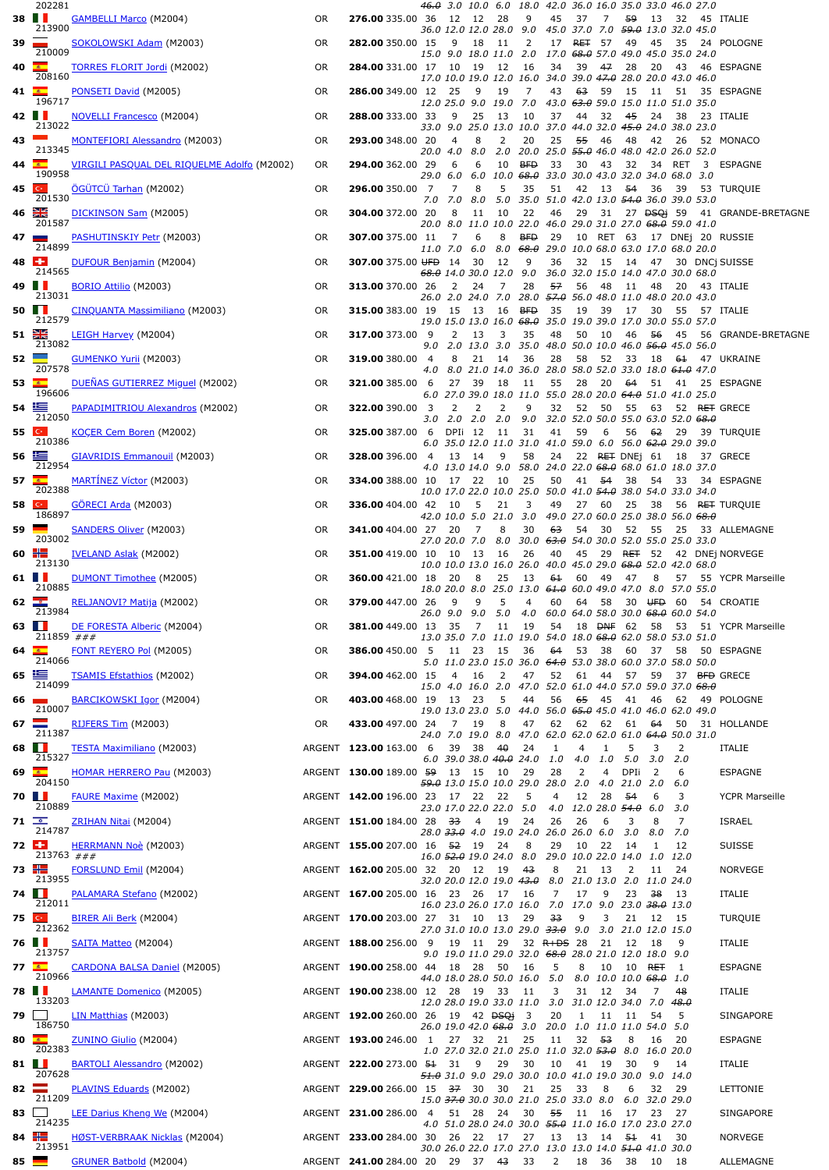|                   | 202281                                   |                                                                                       |           |                                      | <del>46.0</del> 3.0 10.0 6.0 18.0 42.0 36.0 16.0 35.0 33.0 46.0 27.0                                 |     |            |                                                              |              |          |                               |                          |              |                                                |
|-------------------|------------------------------------------|---------------------------------------------------------------------------------------|-----------|--------------------------------------|------------------------------------------------------------------------------------------------------|-----|------------|--------------------------------------------------------------|--------------|----------|-------------------------------|--------------------------|--------------|------------------------------------------------|
| 38                | 213900                                   | <b>GAMBELLI Marco (M2004)</b>                                                         | 0R        | <b>276.00</b> 335.00 36 12 12 28     | 36.0 12.0 12.0 28.0 9.0 45.0 37.0 7.0 <del>59.0</del> 13.0 32.0 45.0                                 |     | 9          | 45                                                           | 37           | 7        |                               | <del>59</del> 13 32      |              | 45 ITALIE                                      |
| 39                | 210009                                   | SOKOLOWSKI Adam (M2003)                                                               | 0R        | <b>282.00</b> 350.00 15              | 9<br>18                                                                                              | -11 | 2          | 17                                                           | <b>RET</b>   | 57       |                               | 49 45                    | 35           | 24 POLOGNE                                     |
|                   | 40 $\frac{1}{2}$                         | <b>TORRES FLORIT Jordi</b> (M2002)                                                    | 0R        | <b>284.00</b> 331.00 17 10 19 12     | 15.0 9.0 18.0 11.0 2.0 17.0 <del>68.0</del> 57.0 49.0 45.0 35.0 24.0                                 |     | - 16       | 34                                                           | 39           | 47       | 28                            | - 20                     | 43           | 46 ESPAGNE                                     |
|                   | 208160<br>$41$ $\frac{2}{3}$             |                                                                                       | 0R        | <b>286.00</b> 349.00 12 25           | 17.0 10.0 19.0 12.0 16.0 34.0 39.0 47.0 28.0 20.0 43.0 46.0<br>9                                     | 19  | 7          | 43                                                           | 63           | 59       | 15                            | - 11                     |              | 51 35 ESPAGNE                                  |
|                   | 196717                                   | <b>PONSETI David (M2005)</b>                                                          |           |                                      | 12.0 25.0 9.0 19.0 7.0 43.0 63.0 59.0 15.0 11.0 51.0 35.0                                            |     |            |                                                              |              |          |                               |                          |              |                                                |
|                   | $42$ $\blacksquare$<br>213022            | <b>NOVELLI Francesco</b> (M2004)                                                      | 0R        | <b>288.00</b> 333.00 33              | - 9<br>25<br>33.0   9.0   25.0   13.0   10.0   37.0   44.0   32.0 <del>45.0</del> 24.0   38.0   23.0 | 13  | - 10       | 37                                                           | 44           |          | 32 45                         | 24 38                    |              | 23 ITALIE                                      |
|                   | 43<br>213345                             | <b>MONTEFIORI Alessandro (M2003)</b>                                                  | 0R        | <b>293.00</b> 348.00 20              | 8<br>4<br>20.0 4.0<br>8.0                                                                            | 2   | 20         | 25<br>2.0 20.0 25.0 <del>55.0</del> 46.0 48.0 42.0 26.0 52.0 | 55           | 46       | 48                            | 42 26                    |              | 52 MONACO                                      |
|                   | 44 $\sqrt{2}$                            | VIRGILI PASQUAL DEL RIQUELME Adolfo (M2002)                                           | 0R        | <b>294.00</b> 362.00 29              | 6<br>6                                                                                               | 10  | <b>BFD</b> | 33                                                           |              | 30 43    | 32                            |                          |              | 34 RET 3 ESPAGNE                               |
|                   | 190958<br>$45$ $C$                       | ÖGÜTCÜ Tarhan (M2002)                                                                 | 0R        | <b>296.00</b> 350.00 7               | 29.0 6.0 6.0 10.0 <del>68.0</del> 33.0 30.0 43.0 32.0 34.0 68.0 3.0<br>7<br>8                        | 5   | 35         | 51                                                           | 42 13        |          | 54                            |                          |              | 36 39 53 TURQUIE                               |
|                   | 201530<br>$46 \frac{\text{N}}{\text{N}}$ |                                                                                       |           |                                      | 7.0 7.0 8.0 5.0 35.0 51.0 42.0 13.0 54.0 36.0 39.0 53.0                                              |     |            |                                                              |              |          |                               |                          |              |                                                |
|                   | 201587                                   | DICKINSON Sam (M2005)                                                                 | 0R        | <b>304.00</b> 372.00 20              | 11 10<br>8<br>20.0 8.0 11.0 10.0 22.0 46.0 29.0 31.0 27.0 <del>68.0</del> 59.0 41.0                  |     | 22         | 46                                                           |              |          |                               |                          |              | 29 31 27 <del>DSQi</del> 59 41 GRANDE-BRETAGNE |
|                   | 47 $\blacksquare$<br>214899              | <b>PASHUTINSKIY Petr</b> (M2003)                                                      | 0R        | <b>307.00</b> 375.00 11              | 7<br>6<br>11.0 7.0 6.0 8.0 <del>68.0</del> 29.0 10.0 68.0 63.0 17.0 68.0 20.0                        | 8   | <b>BFD</b> | 29                                                           |              |          |                               |                          |              | 10 RET 63 17 DNEj 20 RUSSIE                    |
|                   | 48 $F1$<br>214565                        | <u>DUFOUR Benjamin</u> (M2004)                                                        | 0R        | 307.00 375.00 UFD 14 30 12           |                                                                                                      |     | 9          | 36                                                           |              |          |                               |                          |              | 32 15 14 47 30 DNCj SUISSE                     |
|                   | 49 <b>II</b>                             | <b>BORIO Attilio</b> (M2003)                                                          | 0R        | <b>313.00</b> 370.00 26              | 68.0 14.0 30.0 12.0 9.0 36.0 32.0 15.0 14.0 47.0 30.0 68.0<br>$2 \quad 24$                           | 7   | 28         | 57                                                           | 56           |          |                               |                          |              | 48 11 48 20 43 ITALIE                          |
|                   | 213031<br>50 <b>PP</b>                   | <u>CINQUANTA Massimiliano</u> (M2003)                                                 | 0R        | <b>315.00</b> 383.00 19 15 13 16 BFD | 26.0 2.0 24.0 7.0 28.0 <del>57.0</del> 56.0 48.0 11.0 48.0 20.0 43.0                                 |     |            | -35                                                          | 19           |          | 39 17 30                      |                          | 55           | 57 ITALIE                                      |
| $51 \frac{8}{20}$ | 212579                                   |                                                                                       |           |                                      | 19.0 15.0 13.0 16.0 68.0 35.0 19.0 39.0 17.0 30.0 55.0 57.0                                          |     |            |                                                              |              |          |                               |                          |              |                                                |
|                   | 213082                                   | LEIGH Harvey (M2004)                                                                  | 0R        | <b>317.00</b> 373.00 9               | 2 13<br>9.0 2.0 13.0 3.0 35.0 48.0 50.0 10.0 46.0 <del>56.0</del> 45.0 56.0                          | 3   | 35         | 48                                                           | 50           | 10       |                               |                          |              | 46 56 45 56 GRANDE-BRETAGNE                    |
| 52                | 207578                                   | <b>GUMENKO Yurii</b> (M2003)                                                          | 0R        | <b>319.00</b> 380.00 4               | 8<br>21<br>4.0 8.0 21.0 14.0 36.0 28.0 58.0 52.0 33.0 18.0 <del>61.0</del> 47.0                      | 14  | 36         | 28                                                           | 58           | 52       |                               |                          |              | 33 18 61 47 UKRAINE                            |
|                   | 53 $\sqrt{2}$<br>196606                  | DUEÑAS GUTIERREZ Miguel (M2002)                                                       | 0R        | <b>321.00</b> 385.00 6               | 27 39 18<br>6.0 27.0 39.0 18.0 11.0 55.0 28.0 20.0 <del>64.0</del> 51.0 41.0 25.0                    |     | - 11       | 55                                                           | 28           |          |                               |                          |              | 20 <del>64</del> 51 41 25 ESPAGNE              |
|                   | $54 \equiv$                              | PAPADIMITRIOU Alexandros (M2002)                                                      | 0R        | <b>322.00</b> 390.00 3               | 2<br>2                                                                                               | 2   | 9          | 32                                                           | 52           | 50       |                               |                          |              | 55 63 52 <del>RET</del> GRECE                  |
|                   | 212050<br>55C                            | KOCER Cem Boren (M2002)                                                               | 0R        | <b>325.00</b> 387.00 6 DPIi 12 11    | $3.0$ $2.0$ $2.0$ $2.0$                                                                              |     | 31         | 9.0 32.0 52.0 50.0 55.0 63.0 52.0 <del>68.0</del><br>41      | 59           | 6        |                               |                          |              | 56 62 29 39 TURQUIE                            |
|                   | 210386<br>56 匩                           |                                                                                       |           |                                      | 6.0 35.0 12.0 11.0 31.0 41.0 59.0 6.0 56.0 62.0 29.0 39.0                                            |     |            |                                                              |              |          |                               |                          |              |                                                |
|                   | 212954                                   | <b>GIAVRIDIS Emmanouil</b> (M2003)                                                    | 0R        | <b>328.00</b> 396.00 4               | 13 14<br>4.0 13.0 14.0 9.0 58.0 24.0 22.0 68.0 68.0 61.0 18.0 37.0                                   | 9   | 58         | 24                                                           |              |          |                               |                          |              | 22 RET DNEj 61 18 37 GRECE                     |
|                   | 57 $\sqrt{2}$<br>202388                  | MARTINEZ Víctor (M2003)                                                               | 0R        | <b>334.00</b> 388.00 10 17 22 10     | 10.0 17.0 22.0 10.0 25.0 50.0 41.0 54.0 38.0 54.0 33.0 34.0                                          |     | 25         | 50                                                           |              |          |                               |                          |              | 41 <del>54</del> 38 54 33 34 ESPAGNE           |
|                   | $58$ $C$<br>186897                       | <b>GORECI Arda</b> (M2003)                                                            | 0R        | <b>336.00</b> 404.00 42 10           | - 5<br>42.0 10.0 5.0 21.0 3.0                                                                        | 21  | 3          | 49<br>49.0 27.0 60.0 25.0 38.0 56.0 <del>68.0</del>          | 27           | 60       | 25                            | - 38                     |              | 56 <del>RET</del> TURQUIE                      |
| 59                | 203002                                   | SANDERS Oliver (M2003)                                                                | 0R        | <b>341.00</b> 404.00 27 20           | $\overline{7}$                                                                                       | 8   | 30         | 63                                                           | 54           | 30       |                               |                          |              | 52    55    25    33    ALLEMAGNE              |
|                   | 60 $\equiv$                              | <b>IVELAND Aslak</b> (M2002)                                                          | 0R        | <b>351.00</b> 419.00 10 10 13 16     | 27.0 20.0 7.0 8.0 30.0 <del>63.0</del> 54.0 30.0 52.0 55.0 25.0 33.0                                 |     | 26         | 40                                                           | 45           |          |                               |                          |              | 29 <del>RET</del> 52 42 DNEjNORVEGE            |
|                   | 213130<br>$61$ $\blacksquare$            | DUMONT Timothee (M2005)                                                               | 0R        | <b>360.00</b> 421.00 18              | 10.0 10.0 13.0 16.0 26.0 40.0 45.0 29.0 68.0 52.0 42.0 68.0<br>20<br>-8                              | 25  | - 13       | 61                                                           | 60           | 49       | 47                            | 8                        | 57           | 55 YCPR Marseille                              |
|                   | 210885<br>62 $\Box$                      | <u>RELJANOVI? Matija</u> (M2002)                                                      | 0R        | <b>379.00</b> 447.00 26              | 18.0 20.0 8.0 25.0 13.0 <del>61.0</del> 60.0 49.0 47.0 8.0 57.0 55.0<br>9<br>9                       | 5   | 4          | 60                                                           | 64           | 58       |                               | 30 UFD 60                |              | 54 CROATIE                                     |
|                   | 213984<br>63 <b>TH</b>                   |                                                                                       |           |                                      | 26.0 9.0 9.0 5.0 4.0 60.0 64.0 58.0 30.0 <del>68.0</del> 60.0 54.0                                   |     |            |                                                              |              |          |                               |                          |              |                                                |
|                   | 211859 ###                               | DE FORESTA Alberic (M2004)                                                            | OR        | 381.00 449.00 13 35                  | 13.0 35.0 7.0 11.0 19.0 54.0 18.0 <del>68.0</del> 62.0 58.0 53.0 51.0                                | 11  | 19         | 54                                                           |              |          |                               |                          |              | 18 DNF 62 58 53 51 YCPR Marseille              |
|                   | 64 $5$<br>214066                         | FONT REYERO Pol (M2005)                                                               | OR.       | <b>386.00</b> 450.00 5               | 11 23<br>5.0 11.0 23.0 15.0 36.0 64.0 53.0 38.0 60.0 37.0 58.0 50.0                                  | 15  | 36         | 64                                                           | 53           | 38       | 60                            | 37 58                    |              | 50 ESPAGNE                                     |
|                   | $65 \equiv$<br>214099                    | <b>TSAMIS Efstathios (M2002)</b>                                                      | <b>OR</b> | <b>394.00</b> 462.00 15 4 16         | 15.0 4.0 16.0 2.0 47.0 52.0 61.0 44.0 57.0 59.0 37.0 68.0                                            | 2   | 47         |                                                              | 52 61 44     |          |                               |                          |              | 57 59 37 BFD GRECE                             |
|                   | $66 \quad \square$<br>210007             | BARCIKOWSKI Igor (M2004)                                                              | OR        | 403.00468.00 19 13 23                |                                                                                                      | 5   | 44         | 56                                                           | 65           | 45       | 41                            | 46 62                    |              | 49 POLOGNE                                     |
|                   | $67 \equiv$                              | RIJFERS Tim (M2003)                                                                   | <b>OR</b> | 433.00 497.00 24                     | 19.0 13.0 23.0 5.0 44.0 56.0 65.0 45.0 41.0 46.0 62.0 49.0<br>7<br>19                                | 8   | 47         | 62                                                           |              | 62 62    |                               |                          |              | 61  64  50  31  HOLLANDE                       |
|                   | 211387<br>68 <b>II</b>                   | TESTA Maximiliano (M2003) 4RGENT 123.00 163.00 6                                      |           |                                      | 24.0 7.0 19.0 8.0 47.0 62.0 62.0 62.0 61.0 <del>64.0</del> 50.0 31.0<br>39 38                        | 40  | 24         | 1                                                            | 4            | 1        | 5                             | 3                        | 2            | ITALIE                                         |
|                   | 215327<br>69 $\Box$                      | HOMAR HERRERO Pau (M2003) 4RGENT 130.00 189.00 59 13 15 10                            |           |                                      | $6.0$ 39.0 38.0 40.0 24.0 1.0 4.0                                                                    |     |            |                                                              | 2            | 1.0<br>4 | DPIi                          | 5.0 3.0 2.0              | 6            |                                                |
|                   | 204150                                   |                                                                                       |           |                                      | <del>59.0</del> 13.0 15.0 10.0 29.0 28.0 2.0 4.0 21.0 2.0 6.0                                        |     | 29         | 28                                                           |              |          |                               | $\overline{\phantom{0}}$ |              | ESPAGNE                                        |
|                   | <b>70 11</b><br>210889                   | FAURE Maxime (M2002)                                                                  |           | ARGENT 142.00 196.00 23 17 22 22     | 23.0 17.0 22.0 22.0 5.0                                                                              |     | 5          | $\overline{4}$                                               | 12           | 28       | -54<br>4.0 12.0 28.0 54.0 6.0 | 6                        | 3<br>3.0     | <b>YCPR Marseille</b>                          |
|                   | $71$ $\rightarrow$<br>214787             | ZRIHAN Nitai (M2004)                                                                  |           | ARGENT 151.00 184.00 28 33 4         | 28.0 <del>33.0</del> 4.0 19.0 24.0 26.0 26.0 6.0                                                     | 19  | 24         | 26                                                           | 26           | 6        | 3                             | 8<br>3.0 8.0 7.0         | 7            | ISRAEL                                         |
|                   | $72$ $-1$<br>$213763$ ###                | <u>HERRMANN Noè</u> (M2003)                                                           |           | ARGENT 155.00 207.00 16 52 19 24     | 16.0 52.0 19.0 24.0 8.0                                                                              |     | 8          | 29                                                           | 10           | 22       | 14                            | 1                        | 12           | <b>SUISSE</b>                                  |
|                   | 73 H                                     | FORSLUND Emil (M2004)                                                                 |           | ARGENT 162.00 205.00 32 20 12 19     |                                                                                                      |     | 43         | 29.0 10.0 22.0 14.0 1.0 12.0<br>8                            | 21           | 13       | 2                             | - 11                     | - 24         | <b>NORVEGE</b>                                 |
|                   | 213955<br>74                             | PALAMARA Stefano (M2002) 4RGENT 167.00 205.00 16 23 26 17 16                          |           |                                      | 32.0 20.0 12.0 19.0 <del>43.0</del> 8.0 21.0 13.0 2.0 11.0 24.0                                      |     |            | 7                                                            | 17           | 9        | 23                            | <del>38</del> 13         |              | ITALIE                                         |
|                   | 212011<br>$75$ $\degree$                 | <u>BIRER Ali Berk</u> (M2004) <b>EXECUTE:</b> ARGENT <b>170.00</b> 203.00 27 31 10 13 |           |                                      | 16.0 23.0 26.0 17.0 16.0 7.0 17.0 9.0 23.0 <del>38.0</del> 13.0                                      |     | 29         | 33                                                           | 9            | 3        | 21                            | 12 15                    |              | <b>TURQUIE</b>                                 |
|                   | 212362                                   | ARGENT 188.00 256.00 9 19 11 29                                                       |           |                                      | 27.0 31.0 10.0 13.0 29.0 <del>33.0</del> 9.0 3.0 21.0 12.0 15.0                                      |     |            |                                                              |              |          |                               |                          |              |                                                |
|                   | 76 <b>II</b><br>213757                   | <b>SAITA Matteo</b> (M2004)                                                           |           |                                      | 9.0 19.0 11.0 29.0 32.0 <del>68.0</del> 28.0 21.0 12.0 18.0 9.0                                      |     |            | 32 <del>R+DS</del> 28                                        |              |          | 21 12 18                      |                          | - 9          | ITALIE                                         |
|                   | 77 $\frac{1}{2}$<br>210966               | CARDONA BALSA Daniel (M2005) 4RGENT 190.00 258.00 44 18 28 50                         |           |                                      | 44.0 18.0 28.0 50.0 16.0 5.0 8.0 10.0 10.0 68.0 1.0                                                  |     | 16         | 5                                                            | 8            | 10       | 10 RET                        |                          | $\mathbf{1}$ | ESPAGNE                                        |
|                   | 78 <b>11</b><br>133203                   | LAMANTE Domenico (M2005) 4RGENT 190.00 238.00 12 28 19 33 11                          |           |                                      | 12.0 28.0 19.0 33.0 11.0 3.0 31.0 12.0 34.0 7.0 48.0                                                 |     |            | 3                                                            |              | 31 12    | 34                            | 7 48                     |              | ITALIE                                         |
|                   | $79$ $\Box$<br>186750                    | LIN Matthias (M2003) 4RGENT 192.00 260.00 26 19 42 DSQi 3                             |           |                                      |                                                                                                      |     |            | 20                                                           | $\mathbf{1}$ | 11       | 11                            | - 54                     | 5            | <b>SINGAPORE</b>                               |
|                   | 80 $\frac{1}{2}$                         | ZUNINO Giulio (M2004) 4RGENT 193.00 246.00 1 27 32 21 25                              |           |                                      | 26.0 19.0 42.0 68.0 3.0 20.0 1.0 11.0 11.0 54.0 5.0                                                  |     |            | 11                                                           | 32 53        |          | 8                             | 16 20                    |              | ESPAGNE                                        |
|                   | 202383<br>81 <b>II</b>                   | BARTOLI Alessandro (M2002) 4RGENT 222.00 273.00 51 31 9                               |           |                                      | 1.0 27.0 32.0 21.0 25.0 11.0 32.0 <del>53.0</del> 8.0 16.0 20.0                                      | 29  | 30         | 10                                                           | -41          | 19       | 30                            | 9                        | 14           | <b>ITALIE</b>                                  |
|                   | 207628<br>$82 \equiv$                    | PLAVINS Eduards (M2002) 4RGENT 229.00 266.00 15 37 30 30                              |           |                                      | <del>51.0</del> 31.0 9.0 29.0 30.0 10.0 41.0 19.0 30.0 9.0 14.0                                      |     |            |                                                              |              |          |                               |                          |              |                                                |
|                   | 211209                                   |                                                                                       |           |                                      | 15.0 <del>37.0</del> 30.0 30.0 21.0 25.0 33.0 8.0 6.0 32.0 29.0                                      |     | 21         | 25                                                           | 33           | 8        | 6                             | 32 29                    |              | LETTONIE                                       |
|                   | $83$ $\Box$<br>214235                    | LEE Darius Kheng We (M2004)<br>ARGENT 231.00 286.00 4 51 28 24                        |           |                                      | 4.0 51.0 28.0 24.0 30.0 55.0 11.0 16.0 17.0 23.0 27.0                                                |     | 30         |                                                              | 55 11 16     |          |                               | 17 23 27                 |              | SINGAPORE                                      |
|                   | 84 $H$<br>213951                         | HØST-VERBRAAK Nicklas (M2004) 4RGENT 233.00 284.00 30 26 22 17 27                     |           |                                      | 30.0 26.0 22.0 17.0 27.0 13.0 13.0 14.0 51.0 41.0 30.0                                               |     |            | 13 13 14 51 41 30                                            |              |          |                               |                          |              | <b>NORVEGE</b>                                 |
| $85 \blacksquare$ |                                          | ARGENT 241.00 284.00 20 29 37 43 33<br><b>GRUNER Batbold (M2004)</b>                  |           |                                      |                                                                                                      |     |            | 2 18 36 38 10 18                                             |              |          |                               |                          |              | <b>ALLEMAGNE</b>                               |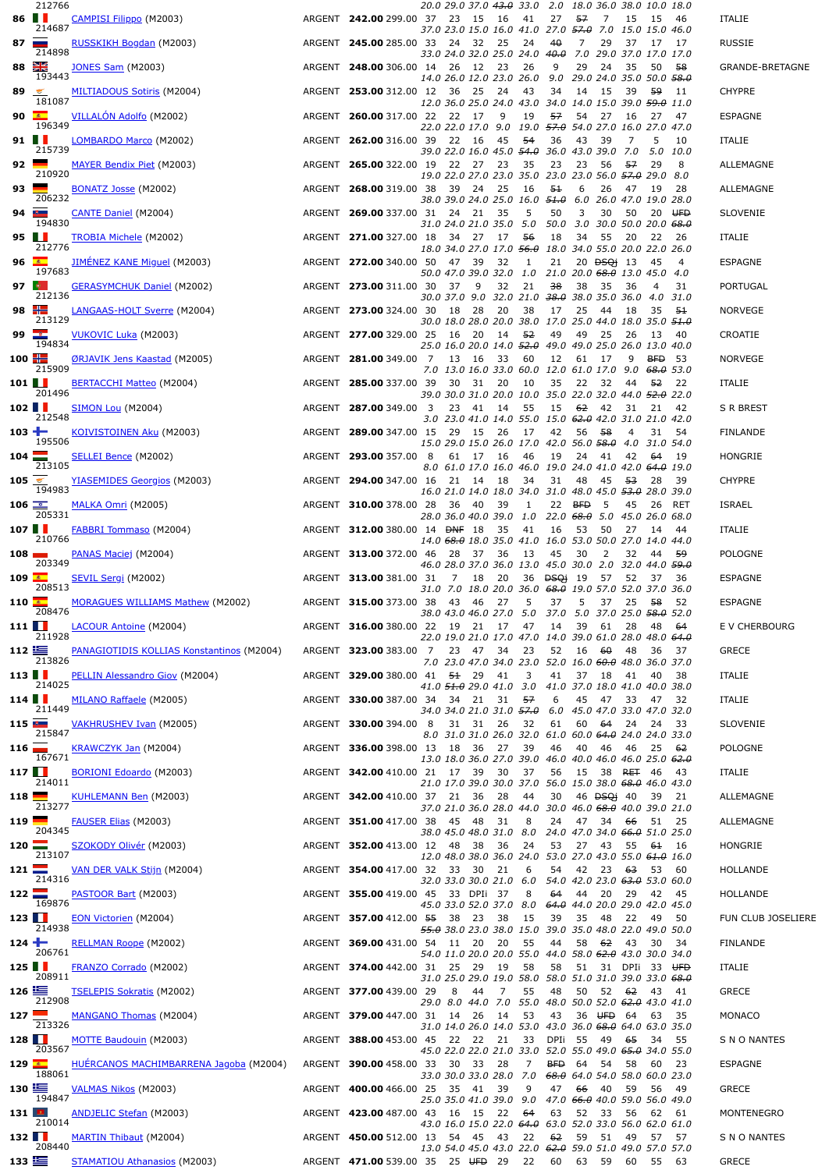| 86 $\blacksquare$    | 212766                |                                                                                         |                                                         | 20.0 29.0 37.0 <del>43.0</del> 33.0 2.0 18.0 36.0 38.0 10.0 18.0        |                |                         |                                    |                  |                           |       |                              |        |                    |
|----------------------|-----------------------|-----------------------------------------------------------------------------------------|---------------------------------------------------------|-------------------------------------------------------------------------|----------------|-------------------------|------------------------------------|------------------|---------------------------|-------|------------------------------|--------|--------------------|
|                      | 214687                | <b>CAMPISI Filippo</b> (M2003)                                                          | ARGENT 242.00 299.00 37 23 15 16                        | 37.0 23.0 15.0 16.0 41.0 27.0 <del>57.0</del> 7.0 15.0 15.0 46.0        |                | 41                      | 27                                 | 57               | $\overline{7}$            |       | 15 15 46                     |        | <b>ITALIE</b>      |
| 87                   | 214898                | RUSSKIKH Bogdan (M2003)                                                                 | ARGENT 245.00 285.00 33 24 32                           | 33.0 24.0 32.0 25.0 24.0 <del>40.0</del> 7.0 29.0 37.0 17.0 17.0        | 25             | -24                     | 40                                 | 7                | 29                        | 37    | 17                           | 17     | <b>RUSSIE</b>      |
| $88 \frac{8}{25}$    | 193443                | <b>JONES Sam (M2003)</b>                                                                | ARGENT 248.00 306.00 14 26 12 23                        | 14.0 26.0 12.0 23.0 26.0 9.0 29.0 24.0 35.0 50.0 <del>58.0</del>        |                | -26                     | 9                                  | 29               | 24                        | 35    | 50                           | - 58   | GRANDE-BRETAGNE    |
| 89 $\leq$            | 181087                | MILTIADOUS Sotiris (M2004)                                                              | ARGENT 253.00 312.00 12 36 25                           | 12.0 36.0 25.0 24.0 43.0 34.0 14.0 15.0 39.0 <del>59.0</del> 11.0       | - 24           | 43                      | 34                                 | 14               | -15                       | 39    | -59                          | - 11   | <b>CHYPRE</b>      |
| 90                   | <b>DATE</b><br>196349 | VILLALON Adolfo (M2002)                                                                 | ARGENT 260.00 317.00 22 22 17                           | 22.0 22.0 17.0 9.0 19.0 57.0 54.0 27.0 16.0 27.0 47.0                   | 9              | 19                      | 57                                 | 54               | - 27                      | - 16  | 27                           | 47     | ESPAGNE            |
| $91$ $\blacksquare$  | 215739                | LOMBARDO Marco (M2002)                                                                  | ARGENT 262.00 316.00 39 22 16                           |                                                                         | 45             | -54                     | 36                                 | 43               | -39                       | 7     | 5                            | 10     | <b>ITALIE</b>      |
| $92 \equiv$          |                       | <b>MAYER Bendix Piet (M2003)</b>                                                        | ARGENT 265.00 322.00 19 22 27 23                        | 39.0 22.0 16.0 45.0 <del>54.0</del> 36.0 43.0 39.0 7.0                  |                | 35                      | 23                                 | 23               | -56                       | - 57  | 5.0 10.0<br>29               | 8      | ALLEMAGNE          |
| $93$ $\blacksquare$  | 210920                | <b>BONATZ Josse (M2002)</b>                                                             | ARGENT 268.00 319.00 38 39 24 25                        | 19.0 22.0 27.0 23.0 35.0 23.0 23.0 56.0 57.0 29.0 8.0                   |                | - 16                    | 51                                 | 6                | 26                        | 47 19 |                              | -28    | ALLEMAGNE          |
| 94                   | 206232                | <b>CANTE Daniel</b> (M2004)                                                             | ARGENT 269.00 337.00 31 24 21 35                        | 38.0 39.0 24.0 25.0 16.0 <del>51.0</del> 6.0 26.0 47.0 19.0 28.0        |                | -5                      | 50                                 | 3                | 30                        | 50    |                              | 20 UFD | <b>SLOVENIE</b>    |
| 95 $\blacksquare$    | 194830                | <b>TROBIA Michele</b> (M2002)                                                           | ARGENT 271.00 327.00 18 34 27 17 56                     | 31.0 24.0 21.0 35.0 5.0 50.0 3.0 30.0 50.0 20.0 <del>68.0</del>         |                |                         | 18                                 | 34               | 55                        | - 20  | 22 26                        |        | ITALIE             |
| 96 $\Box$            | 212776                | <u>JIMÉNEZ KANE Miguel</u> (M2003)                                                      | ARGENT 272.00 340.00 50 47 39                           | 18.0 34.0 27.0 17.0 <del>56.0</del> 18.0 34.0 55.0 20.0 22.0 26.0       | 32             | 1                       | 21                                 |                  | 20 <del>DSQ</del> i 13    |       | 45                           | 4      | ESPAGNE            |
| 97 $\bullet$         | 197683                | <b>GERASYMCHUK Daniel (M2002)</b>                                                       | ARGENT 273.00 311.00 30 37 9                            | 50.0 47.0 39.0 32.0 1.0 21.0 20.0 <del>68.0</del> 13.0 45.0 4.0         | 32             | -21                     | 38                                 | 38 35            |                           | - 36  | 4                            | 31     | PORTUGAL           |
| 98 $\equiv$          | 212136                |                                                                                         |                                                         | 30.0 37.0 9.0 32.0 21.0 <del>38.0</del> 38.0 35.0 36.0 4.0 31.0         | 20             |                         |                                    |                  |                           |       |                              |        |                    |
|                      | 213129                | LANGAAS-HOLT Sverre (M2004) 4RGENT <b>273.00</b> 324.00 30 18                           |                                                         | 28<br>30.0 18.0 28.0 20.0 38.0 17.0 25.0 44.0 18.0 35.0 <del>51.0</del> |                | -38                     | 17                                 | 25               | - 44                      | -18   | 35                           | -54    | <b>NORVEGE</b>     |
| $99 \Box$            | 194834                | <b>VUKOVIC Luka (M2003)</b>                                                             | ARGENT 277.00 329.00 25 16 20 14 52                     | 25.0 16.0 20.0 14.0 52.0 49.0 49.0 25.0 26.0 13.0 40.0                  |                |                         | 49                                 | 49 25            |                           | 26    | - 13                         | -40    | CROATIE            |
| 100 <del>H</del>     | 215909                | ØRJAVIK Jens Kaastad (M2005)                                                            | ARGENT 281.00 349.00 7 13 16                            | 7.0 13.0 16.0 33.0 60.0 12.0 61.0 17.0 9.0 68.0 53.0                    | 33             | 60                      | 12                                 | 61               | 17                        | 9     | <b>BFD</b> 53                |        | <b>NORVEGE</b>     |
| 101 <b>H</b>         | 201496                | BERTACCHI Matteo (M2004)                                                                | ARGENT 285.00 337.00 39 30 31 20                        | 39.0 30.0 31.0 20.0 10.0 35.0 22.0 32.0 44.0 <del>52.0</del> 22.0       |                | 10                      | 35                                 | 22 32            |                           |       | 44 <del>52</del> 22          |        | ITALIE             |
| 102 <b>H</b>         | 212548                | SIMON Lou (M2004)                                                                       | ARGENT 287.00 349.00 3 23 41                            | 3.0 23.0 41.0 14.0 55.0 15.0 62.0 42.0 31.0 21.0 42.0                   | 14             | 55                      | 15                                 | 62 42            |                           | 31    | 21                           | 42     | S R BREST          |
| 103 ±                | 195506                | KOIVISTOINEN Aku (M2003)                                                                | ARGENT 289.00 347.00 15 29 15 26 17                     | 15.0 29.0 15.0 26.0 17.0 42.0 56.0 <del>58.0</del> 4.0 31.0 54.0        |                |                         | 42                                 | 56 58            |                           | 4     | 31                           | -54    | FINLANDE           |
| $104 \Box$           | 213105                | <b>SELLEI Bence</b> (M2002)                                                             | ARGENT 293.00 357.00 8                                  | 61 17 16<br>8.0 61.0 17.0 16.0 46.0 19.0 24.0 41.0 42.0 64.0 19.0       |                | 46                      | 19                                 | 24               | -41                       | 42    | -64                          | -19    | HONGRIE            |
| 105                  | 194983                | <b>YIASEMIDES Georgios</b> (M2003)                                                      | ARGENT 294.00 347.00 16 21 14 18                        |                                                                         |                | - 34                    | 31                                 | 48 45            |                           | - 53  | 28 39                        |        | <b>CHYPRE</b>      |
| 106 $\equiv$         |                       | MALKA Omri (M2005)                                                                      | ARGENT 310.00 378.00 28 36 40                           | 16.0 21.0 14.0 18.0 34.0 31.0 48.0 45.0 53.0 28.0 39.0                  | - 39           | 1                       |                                    | 22 BFD           | - 5                       | 45    |                              | 26 RET | <b>ISRAEL</b>      |
| 107 <b>H</b>         | 205331                | <b>FABBRI Tommaso</b> (M2004)                                                           | ARGENT 312.00 380.00 14 DNF 18                          | 28.0 36.0 40.0 39.0 1.0                                                 | 35             | - 41                    | 22.0 68.0 5.0 45.0 26.0 68.0<br>16 | 53 50            |                           | 27    | - 14 - 44                    |        | ITALIE             |
| $108$ $\blacksquare$ | 210766                | PANAS Maciej (M2004)                                                                    | ARGENT 313.00 372.00 46 28 37 36                        | 14.0 68.0 18.0 35.0 41.0 16.0 53.0 50.0 27.0 14.0 44.0                  |                | 13                      | 45                                 | 30               | 2                         | 32    | 44 59                        |        | <b>POLOGNE</b>     |
| $109 -$              | 203349                | ARGENT 313.00 381.00 31 7 18<br><u>SEVIL Sergi</u> (M2002)                              |                                                         | 46.0 28.0 37.0 36.0 13.0 45.0 30.0 2.0 32.0 44.0 <del>59.0</del>        | 20             |                         | 36 <del>DSQi</del> 19 57           |                  |                           | 52    | 37 36                        |        | <b>ESPAGNE</b>     |
| 110 $\blacksquare$   | 208513                | MORAGUES WILLIAMS Mathew (M2002) ARGENT 315.00 373.00 38 43 46 27                       |                                                         | 31.0 7.0 18.0 20.0 36.0 <del>68.0</del> 19.0 57.0 52.0 37.0 36.0        |                | -5                      | 37                                 |                  | 5 37 25 <del>58</del>     |       |                              | 52     | <b>ESPAGNE</b>     |
| 111 <b>I I</b>       | 208476                | ARGENT 316.00 380.00 22 19 21 17 47 14 39 61 28 48 64<br><b>LACOUR Antoine</b> (M2004)  |                                                         | 38.0 43.0 46.0 27.0 5.0 37.0 5.0 37.0 25.0 58.0 52.0                    |                |                         |                                    |                  |                           |       |                              |        | E V CHERBOURG      |
| 112 毕                | 211928                | PANAGIOTIDIS KOLLIAS Konstantinos (M2004) ARGENT 323.00 383.00 7 23 47 34               |                                                         | 22.0 19.0 21.0 17.0 47.0 14.0 39.0 61.0 28.0 48.0 <del>64.0</del>       |                | 23                      | 52                                 | 16               | - 60                      | 48    | 36                           | - 37   | <b>GRECE</b>       |
| 113 <b>H</b>         | 213826                | PELLIN Alessandro Giov (M2004) 48GENT 329.00 380.00 41 54 29 41                         |                                                         | 7.0 23.0 47.0 34.0 23.0 52.0 16.0 <del>60.0</del> 48.0 36.0 37.0        |                | $\overline{\mathbf{3}}$ | 41                                 |                  | 37 18 41 40               |       |                              | -38    | ITALIE             |
| 114 $\blacksquare$   | 214025                | MILANO Raffaele (M2005)                                                                 | ARGENT 330.00 387.00 34 34 21 31 57                     | 41.0 51.0 29.0 41.0 3.0 41.0 37.0 18.0 41.0 40.0 38.0                   |                |                         | 6                                  | 45               | - 47                      | - 33  | 47 32                        |        | ITALIE             |
|                      | 211449                |                                                                                         |                                                         | 34.0 34.0 21.0 31.0 57.0 6.0 45.0 47.0 33.0 47.0 32.0                   |                |                         |                                    |                  |                           |       |                              |        |                    |
| 115 <b>Em</b>        | 215847                | VAKHRUSHEV Ivan (M2005)                                                                 | ARGENT 330.00 394.00 8 31 31 26                         | 8.0 31.0 31.0 26.0 32.0 61.0 60.0 64.0 24.0 24.0 33.0                   |                | 32                      | 61                                 | 60               | 64                        |       | 24 24 33                     |        | <b>SLOVENIE</b>    |
| $116$ $\blacksquare$ | 167671                | KRAWCZYK Jan (M2004)                                                                    | ARGENT 336.00 398.00 13 18 36 27 39                     | 13.0 18.0 36.0 27.0 39.0 46.0 40.0 46.0 46.0 25.0 62.0                  |                |                         | 46                                 | 40 46            |                           |       | 46 25 <del>62</del>          |        | <b>POLOGNE</b>     |
| 117 <b>LE</b>        | 214011                | BORIONI Edoardo (M2003)                                                                 | ARGENT 342.00 410.00 21 17 39 30 37                     | 21.0 17.0 39.0 30.0 37.0 56.0 15.0 38.0 <del>68.0</del> 46.0 43.0       |                |                         |                                    |                  |                           |       | 56 15 38 RET 46 43           |        | ITALIE             |
| 118 $\blacksquare$   | 213277                | KUHLEMANN Ben (M2003)                                                                   | ARGENT 342.00 410.00 37 21 36 28                        | 37.0 21.0 36.0 28.0 44.0 30.0 46.0 <del>68.0</del> 40.0 39.0 21.0       |                | - 44                    |                                    |                  | 30 46 <del>DSQ</del> i 40 |       | 39 21                        |        | ALLEMAGNE          |
| 119 $\blacksquare$   | 204345                | <b>FAUSER Elias (M2003)</b>                                                             | ARGENT 351.00 417.00 38 45 48                           | 38.0 45.0 48.0 31.0 8.0 24.0 47.0 34.0 66.0 51.0 25.0                   | 31             | 8                       | 24                                 |                  | 47 34 66                  |       | 51 25                        |        | ALLEMAGNE          |
| $120$ $\blacksquare$ | 213107                | SZOKODY Olivér (M2003)                                                                  | ARGENT 352.00 413.00 12 48 38 36                        | 12.0 48.0 38.0 36.0 24.0 53.0 27.0 43.0 55.0 61.0 16.0                  |                | 24                      |                                    |                  |                           |       | 53 27 43 55 64 16            |        | HONGRIE            |
| $121$ $\Box$         | 214316                | VAN DER VALK Stijn (M2004)                                                              | ARGENT 354.00 417.00 32 33 30 21                        | 32.0 33.0 30.0 21.0 6.0 54.0 42.0 23.0 <del>63.0</del> 53.0 60.0        |                | - 6                     | 54                                 | 42 23            |                           | - 63  | 53 60                        |        | HOLLANDE           |
| $122 \equiv$         | 169876                | PASTOOR Bart (M2003)                                                                    | ARGENT 355.00 419.00 45 33 DPIi 37                      | 45.0 33.0 52.0 37.0 8.0 64.0 44.0 20.0 29.0 42.0 45.0                   |                | 8                       | 64                                 |                  |                           |       | 44 20 29 42 45               |        | HOLLANDE           |
| 123 <b>H</b>         | 214938                | EON Victorien (M2004)                                                                   | ARGENT 357.00 412.00 55 38 23                           |                                                                         | - 38           | - 15                    | 39                                 | 35 48            |                           | -22   | - 49                         | - 50   | FUN CLUB JOSELIERE |
| $124 +$              |                       | <b>RELLMAN Roope</b> (M2002)                                                            | ARGENT 369.00 431.00 54 11 20 20                        | <del>55.0</del> 38.0 23.0 38.0 15.0 39.0 35.0 48.0 22.0 49.0 50.0       |                | 55                      | 44                                 |                  |                           |       | 58 62 43 30 34               |        | <b>FINLANDE</b>    |
| 125 <b>H</b>         | 206761                | <b>FRANZO Corrado</b> (M2002)                                                           | ARGENT 374.00 442.00 31 25 29 19                        | 54.0 11.0 20.0 20.0 55.0 44.0 58.0 <del>62.0</del> 43.0 30.0 34.0       |                | - 58                    | 58                                 |                  |                           |       | 51 31 DPIi 33 <del>UFD</del> |        | ITALIE             |
| 126 EST              | 208911                | <b>TSELEPIS Sokratis</b> (M2002)                                                        | ARGENT 377.00 439.00 29 8 44                            | 31.0 25.0 29.0 19.0 58.0 58.0 51.0 31.0 39.0 33.0 <del>68.0</del>       | $\overline{7}$ | 55                      | 48                                 |                  |                           |       | 50 52 62 43 41               |        | GRECE              |
| 127                  | 212908                | <b>MANGANO Thomas</b> (M2004)                                                           | ARGENT 379.00 447.00 31 14 26 14 53                     | 29.0 8.0 44.0 7.0 55.0 48.0 50.0 52.0 62.0 43.0 41.0                    |                |                         | 43                                 |                  | 36 UFD 64                 |       | 63 35                        |        | MONACO             |
| $128$ $\blacksquare$ | 213326                | MOTTE Baudouin (M2003)                                                                  | ARGENT 388.00 453.00 45 22 22 21 33 DPIi 55 49 65 34 55 | 31.0 14.0 26.0 14.0 53.0 43.0 36.0 <del>68.0</del> 64.0 63.0 35.0       |                |                         |                                    |                  |                           |       |                              |        | S N O NANTES       |
| $129 -$              | 203567                | HUERCANOS MACHIMBARRENA Jagoba (M2004) ARGENT 390.00 458.00 33 30 33 28                 |                                                         | 45.0 22.0 22.0 21.0 33.0 52.0 55.0 49.0 65.0 34.0 55.0                  |                | $\overline{7}$          |                                    | <b>BFD</b> 64 54 |                           | - 58  | 60 23                        |        | <b>ESPAGNE</b>     |
| 130 ≌                | 188061                | VALMAS Nikos (M2003)                                                                    | ARGENT 400.00 466.00 25 35 41 39                        | 33.0 30.0 33.0 28.0 7.0 <del>68.0</del> 64.0 54.0 58.0 60.0 23.0        |                | - 9                     | 47                                 | 66               | - 40                      | 59    | 56 49                        |        | GRECE              |
| $131$ $\boxed{0}$    | 194847                | <b>ANDJELIC Stefan (M2003)</b>                                                          | ARGENT 423.00 487.00 43 16 15 22 64                     | 25.0 35.0 41.0 39.0 9.0 47.0 66.0 40.0 59.0 56.0 49.0                   |                |                         | 63                                 | 52 33            |                           |       | 56 62 61                     |        | MONTENEGRO         |
|                      | 210014                |                                                                                         |                                                         | 43.0 16.0 15.0 22.0 <del>64.0</del> 63.0 52.0 33.0 56.0 62.0 61.0       |                |                         |                                    |                  |                           |       |                              |        |                    |
| 132 <b>H</b>         | 208440                | MARTIN Thibaut (M2004) 4RGENT 450.00 512.00 13 54 45 43 22                              |                                                         | 13.0 54.0 45.0 43.0 22.0 62.0 59.0 51.0 49.0 57.0 57.0                  |                |                         | 62                                 | 59 51            |                           | 49    | 57 57                        |        | S N O NANTES       |
|                      |                       | 133 STAMATIOU Athanasios (M2003) 4RGENT 471.00 539.00 35 25 UFD 29 22 60 63 59 60 55 63 |                                                         |                                                                         |                |                         |                                    |                  |                           |       |                              |        | GRECE              |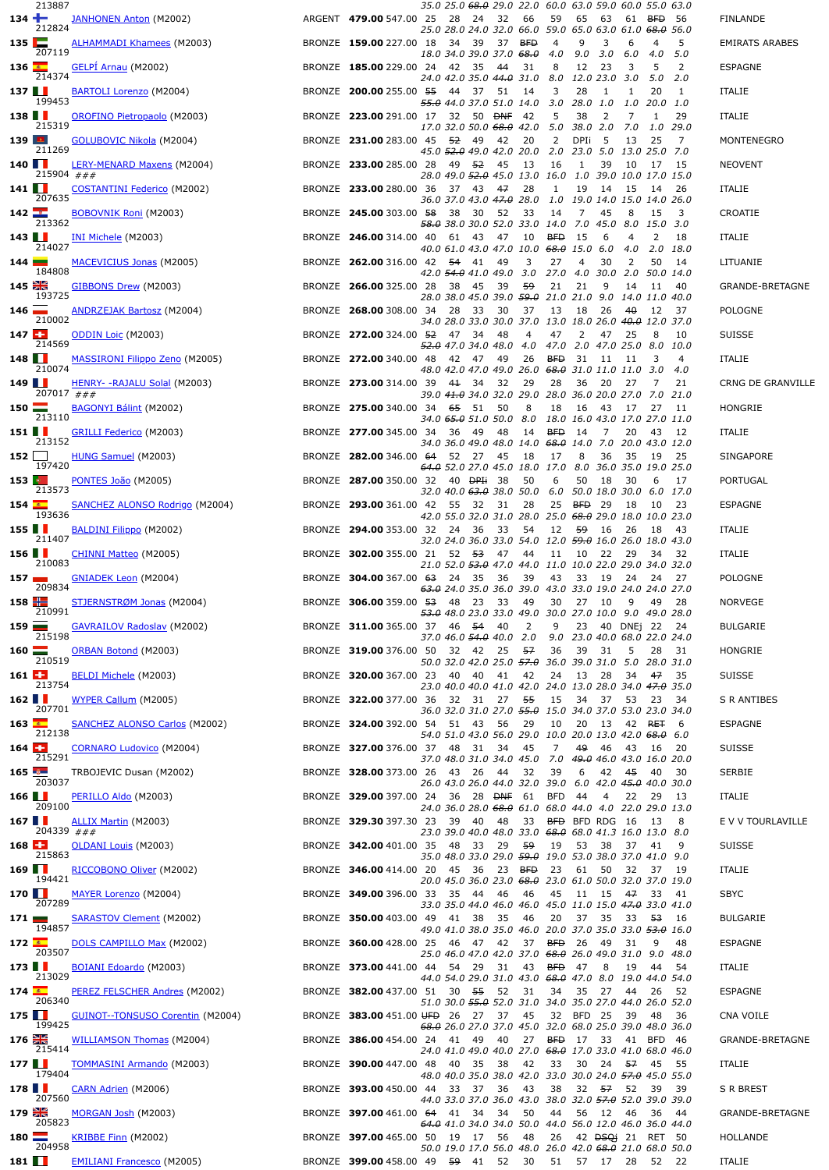|                        | 213887         |                                                             |                                                         |  |      |        | 35.0 25.0 <del>68.0</del> 29.0 22.0 60.0 63.0 59.0 60.0 55.0 63.0                          |                      |               |                |                  |                               |          |                       |
|------------------------|----------------|-------------------------------------------------------------|---------------------------------------------------------|--|------|--------|--------------------------------------------------------------------------------------------|----------------------|---------------|----------------|------------------|-------------------------------|----------|-----------------------|
| $134 +$                | 212824         | <b>JANHONEN Anton (M2002)</b>                               | ARGENT 479.00 547.00 25 28 24 32                        |  |      |        | 66<br>25.0 28.0 24.0 32.0 66.0 59.0 65.0 63.0 61.0 <del>68.0</del> 56.0                    | 59                   | 65            | 63             |                  | 61 BFD 56                     |          | FINLANDE              |
| 135                    |                | <b>ALHAMMADI Khamees</b> (M2003)                            | BRONZE 159.00 227.00 18 34 39                           |  |      | 37 BFD |                                                                                            | 4                    | 9             | 3              | 6                | 4                             | 5        | <b>EMIRATS ARABES</b> |
| $136 -$                | 207119         | <b>GELPI Arnau</b> (M2002)                                  | BRONZE 185.00 229.00 24 42 35                           |  |      | - 44   | 18.0 34.0 39.0 37.0 <del>68.0</del><br>- 31                                                | 4.0<br>8             | 9.0 3.0<br>12 | 23             | 6.0 4.0<br>3     | 5                             | 5.0<br>2 | <b>ESPAGNE</b>        |
| 137                    | 214374         | <b>BARTOLI Lorenzo</b> (M2004)                              | BRONZE 200.00 255.00 55 44                              |  | - 37 | 51     | 24.0 42.0 35.0 44.0 31.0 8.0 12.0 23.0 3.0<br>14                                           | 3                    | 28            | -1             | 1                | 5.0<br>20                     | 2.0<br>1 | ITALIE                |
| 138                    | 199453         | OROFINO Pietropaolo (M2003)                                 | BRONZE 223.00 291.00 17 32 50 BNF                       |  |      |        | 55.0 44.0 37.0 51.0 14.0 3.0 28.0 1.0<br>- 42                                              | 5                    | 38            | 2              | 7                | 1.0 20.0 1.0<br>1             | 29       | ITALIE                |
| $139$ $\blacksquare$   | 215319         | <b>GOLUBOVIC Nikola</b> (M2004)                             | BRONZE 231.00 283.00 45 52 49                           |  |      | - 42   | 17.0 32.0 50.0 <del>68.0</del> 42.0 5.0 38.0 2.0<br>20                                     | 2                    | DPIi          | -5             | 13               | 7.0 1.0 29.0<br>25            | 7        | MONTENEGRO            |
| 140                    | 211269         |                                                             |                                                         |  |      |        | 45.0 <del>52.0</del> 49.0 42.0 20.0 2.0 23.0 5.0                                           |                      |               |                |                  | 13.0 25.0 7.0                 |          |                       |
|                        | 215904 ###     | <u>LERY-MENARD Maxens</u> (M2004)<br>$\frac{u}{u} + u$      | BRONZE 233.00 285.00 28 49 52                           |  |      | - 45   | 13<br>28.0 49.0 52.0 45.0 13.0 16.0 1.0 39.0 10.0 17.0 15.0                                | 16                   | 1             | 39             | -10              | 17 15                         |          | <b>NEOVENT</b>        |
| 141 $\blacksquare$     | 207635         | COSTANTINI Federico (M2002)                                 | BRONZE 233.00 280.00 36 37 43                           |  |      | 47     | 28<br>36.0 37.0 43.0 <del>47.0</del> 28.0 1.0 19.0 14.0 15.0 14.0 26.0                     | 1                    |               | 19 14          | - 15             | - 14                          | -26      | ITALIE                |
| 142                    | 213362         | BOBOVNIK Roni (M2003)                                       | BRONZE 245.00 303.00 58 38 30 52                        |  |      |        | 33<br><del>58.0</del> 38.0 30.0 52.0 33.0 14.0 7.0 45.0 8.0 15.0 3.0                       | 14                   | 7             | 45             | 8                | 15                            | 3        | CROATIE               |
| $143$ $\blacksquare$   | 214027         | <b>INI Michele</b> (M2003)                                  | BRONZE 246.00 314.00 40 61 43                           |  |      | 47     | 10<br>40.0 61.0 43.0 47.0 10.0 68.0 15.0 6.0                                               | <b>BFD</b>           | -15           | 6              | 4<br>4.0         | 2<br>2.0 18.0                 | 18       | ITALIE                |
| $144$ $\blacksquare$   | 184808         | MACEVICIUS Jonas (M2005)                                    | BRONZE 262.00 316.00 42 54 41                           |  |      | - 49   | 3<br>42.0 <del>54.0</del> 41.0 49.0 3.0 27.0 4.0 30.0 2.0 50.0 14.0                        | 27                   | 4             | 30             | 2                | 50                            | 14       | LITUANIE              |
| $145 \frac{N}{200}$    | 193725         | GIBBONS Drew (M2003)                                        | BRONZE 266.00 325.00 28 38 45                           |  |      | 39     | 59<br>28.0 38.0 45.0 39.0 <del>59.0</del> 21.0 21.0 9.0 14.0 11.0 40.0                     | 21                   | 21            | 9              | 14               | - 11                          | 40       | GRANDE-BRETAGNE       |
| 146                    | 210002         | <b>ANDRZEJAK Bartosz</b> (M2004)                            | BRONZE 268.00 308.00 34 28                              |  | - 33 | - 30   | 37<br>34.0 28.0 33.0 30.0 37.0 13.0 18.0 26.0 <del>40.0</del> 12.0 37.0                    | 13                   | 18            | -26            | 40               | 12                            | 37       | <b>POLOGNE</b>        |
| $147 -$                | 214569         | <b>ODDIN Loic</b> (M2003)                                   | BRONZE 272.00 324.00 52 47 34                           |  |      | -48    | 4<br><del>52.0</del> 47.0 34.0 48.0 4.0 47.0 2.0 47.0 25.0 8.0 10.0                        | 47                   | 2             | 47             | - 25             | 8                             | 10       | <b>SUISSE</b>         |
| 148                    | 210074         | MASSIRONI Filippo Zeno (M2005)                              | BRONZE 272.00 340.00 48 42 47                           |  |      | 49     | 26<br>48.0 42.0 47.0 49.0 26.0 68.0 31.0 11.0 11.0 3.0 4.0                                 | <b>BFD</b>           | 31            | -11            | -11              | 3                             | 4        | ITALIE                |
| 149                    | 207017 ###     | $HENRY- -RAJALU Solal (M2003)$<br>$###$                     | BRONZE 273.00 314.00 39 41 34                           |  |      | 32     | 29                                                                                         | 28                   | 36            | -20            | 27               | 7                             | 21       | CRNG DE GRANVILLE     |
| $150 \equiv$           |                | <b>BAGONYI Bálint</b> (M2002)                               | BRONZE 275.00 340.00 34 65 51                           |  |      | - 50   | 39.0 <del>41.0</del> 34.0 32.0 29.0 28.0 36.0 20.0 27.0 7.0 21.0<br>8                      | 18                   | 16 43         |                | 17               | 27                            | 11       | HONGRIE               |
| 151                    | 213110         | <b>GRILLI Federico</b> (M2003)                              | BRONZE 277.00 345.00 34 36 49 48                        |  |      |        | 34.0 <del>65.0</del> 51.0 50.0 8.0 18.0 16.0 43.0 17.0 27.0 11.0                           | 14 BFD 14            |               | $\overline{7}$ | 20               | - 43                          | - 12     | ITALIE                |
| 152                    | 213152         | HUNG Samuel (M2003)                                         | BRONZE 282.00 346.00 64 52 27                           |  |      | - 45   | 34.0 36.0 49.0 48.0 14.0 <del>68.0</del> 14.0 7.0 20.0 43.0 12.0<br>18                     | 17                   | 8             | 36             | 35               | 19 25                         |          | <b>SINGAPORE</b>      |
| $153$   $\bullet$      | 197420         | PONTES João (M2005)                                         | BRONZE 287.00 350.00 32 40 DPH 38                       |  |      |        | 64.0 52.0 27.0 45.0 18.0 17.0 8.0 36.0 35.0 19.0 25.0<br>50                                | 6                    |               | 50 18          | 30               | 6                             | 17       | PORTUGAL              |
| $154 -$                | 213573         | SANCHEZ ALONSO Rodrigo (M2004)                              | BRONZE 293.00 361.00 42 55 32                           |  |      | 31     | 32.0 40.0 <del>63.0</del> 38.0 50.0    6.0 50.0 18.0 30.0    6.0 17.0<br>28                | 25                   | <b>BFD</b> 29 |                | - 18             | 10                            | 23       | <b>ESPAGNE</b>        |
| 155 $\blacksquare$     | 193636         | <b>BALDINI Filippo</b> (M2002)                              | BRONZE 294.00 353.00 32 24 36                           |  |      | - 33   | 42.0 55.0 32.0 31.0 28.0 25.0 <del>68.0</del> 29.0 18.0 10.0 23.0<br>54                    | 12                   | 59 16         |                | -26              | 18                            | 43       | ITALIE                |
| 156                    | 211407         | CHINNI Matteo (M2005)                                       | BRONZE 302.00 355.00 21 52 53 47                        |  |      |        | 32.0 24.0 36.0 33.0 54.0 12.0 <del>59.0</del> 16.0 26.0 18.0 43.0<br>44                    | 11                   | 10            | 22             | 29               | 34                            | 32       | ITALIE                |
| 157                    | 210083         | <b>GNIADEK Leon</b> (M2004)                                 | BRONZE 304.00 367.00 63 24 35                           |  |      | - 36   | 21.0 52.0 <del>53.0</del> 47.0 44.0 11.0 10.0 22.0 29.0 34.0 32.0<br>39                    | 43                   |               | 33 19          | 24 24            |                               | 27       | <b>POLOGNE</b>        |
| 158 $H$                | 209834         | STJERNSTRØM Jonas (M2004) BRONZE 306.00 359.00 53 48 23 33  |                                                         |  |      |        | <del>63.0</del> 24.0 35.0 36.0 39.0 43.0 33.0 19.0 24.0 24.0 27.0<br>49                    | 30                   | 27 10         |                | 9                | 49 28                         |          | <b>NORVEGE</b>        |
| 159                    | 210991         |                                                             |                                                         |  |      |        | <del>53.0</del> 48.0 23.0 33.0 49.0 30.0 27.0 10.0 9.0 49.0 28.0                           |                      |               |                |                  |                               |          | <b>BULGARIE</b>       |
|                        | 215198         | GAVRAILOV Radoslav (M2002) BRONZE 311.00 365.00 37 46 54 40 |                                                         |  |      |        | $\overline{\mathbf{2}}$<br>37.0 46.0 <del>54.0</del> 40.0 2.0 9.0 23.0 40.0 68.0 22.0 24.0 | 9 23 40 DNEj 22 24   |               |                |                  |                               |          |                       |
| $160$ $\blacksquare$   | 210519         | <b>ORBAN Botond</b> (M2003)                                 | BRONZE 319.00 376.00 50 32 42 25                        |  |      |        | - 57<br>50.0 32.0 42.0 25.0 <del>57.0</del> 36.0 39.0 31.0 5.0 28.0 31.0                   | 36                   | 39            | 31             | 5                | 28                            | 31       | HONGRIE               |
| $161 - 1$              | 213754         | <b>BELDI Michele</b> (M2003)                                | BRONZE 320.00 367.00 23 40 40 41 42                     |  |      |        | 23.0 40.0 40.0 41.0 42.0 24.0 13.0 28.0 34.0 <del>47.0</del> 35.0                          | 24                   | 13            | 28             |                  | 34 <del>47</del>              | -35      | <b>SUISSE</b>         |
| 162                    | 207701         | WYPER Callum (M2005)                                        | BRONZE 322.00 377.00 36 32 31 27 55                     |  |      |        | 36.0 32.0 31.0 27.0 <del>55.0</del> 15.0 34.0 37.0 53.0 23.0 34.0                          | 15                   |               | 34 37 53 23    |                  |                               | 34       | S R ANTIBES           |
| $163$ $\frac{2}{\pi}$  | 212138         | <b>SANCHEZ ALONSO Carlos (M2002)</b>                        | BRONZE 324.00 392.00 54 51 43 56                        |  |      |        | 29<br>54.0 51.0 43.0 56.0 29.0 10.0 20.0 13.0 42.0 68.0 6.0                                | 10                   |               |                |                  | 20 13 42 RET                  | -6       | <b>ESPAGNE</b>        |
| $164 -$                | 215291         | CORNARO Ludovico (M2004)                                    | BRONZE 327.00 376.00 37 48 31 34                        |  |      |        | 45<br>37.0 48.0 31.0 34.0 45.0 7.0 49.0 46.0 43.0 16.0 20.0                                | 7                    |               |                |                  | 49 46 43 16 20                |          | <b>SUISSE</b>         |
| 165                    | 203037         | TRBOJEVIC Dusan (M2002)                                     | BRONZE 328.00 373.00 26 43 26                           |  |      | -44    | 32<br>26.0 43.0 26.0 44.0 32.0 39.0 6.0 42.0 <del>45.0</del> 40.0 30.0                     | 39                   | 6             | 42 45          |                  | 40 30                         |          | SERBIE                |
| $166$ $\blacksquare$   | 209100         | PERILLO Aldo (M2003)                                        | BRONZE 329.00 397.00 24 36 28 DNF 61                    |  |      |        | 24.0 36.0 28.0 68.0 61.0 68.0 44.0 4.0 22.0 29.0 13.0                                      | BFD 44 4             |               |                |                  | 22 29 13                      |          | ITALIE                |
| 167                    | 204339 $\#$ ## | <b>ALLIX Martin (M2003)</b>                                 | BRONZE 329.30 397.30 23 39 40 48                        |  |      |        | 23.0 39.0 40.0 48.0 33.0 68.0 68.0 41.3 16.0 13.0 8.0                                      | 33 BFD BFD RDG 16 13 |               |                |                  |                               | 8        | E V V TOURLAVILLE     |
| $168 - 1$              | 215863         | OLDANI Louis (M2003)                                        | BRONZE 342.00 401.00 35 48 33 29 59                     |  |      |        |                                                                                            | 19                   |               | 53 38          | 37 41            |                               | 9        | <b>SUISSE</b>         |
| 169                    | 194421         | RICCOBONO Oliver (M2002)                                    | BRONZE 346.00 414.00 20 45 36                           |  |      | 23 BFD | 35.0 48.0 33.0 29.0 59.0 19.0 53.0 38.0 37.0 41.0 9.0                                      | - 23                 | 61            | 50             |                  | 32 37 19                      |          | ITALIE                |
| $170$ $\blacksquare$   |                | MAYER Lorenzo (M2004)                                       | BRONZE 349.00 396.00 33 35 44 46                        |  |      |        | 20.0 45.0 36.0 23.0 <del>68.0</del> 23.0 61.0 50.0 32.0 37.0 19.0<br>46                    | 45                   |               |                |                  | 11 15 47 33                   | 41       | SBYC                  |
| 171                    | 207289         | <b>SARASTOV Clement (M2002)</b>                             | BRONZE 350.00 403.00 49 41 38                           |  |      | - 35   | 33.0 35.0 44.0 46.0 46.0 45.0 11.0 15.0 <del>47.0</del> 33.0 41.0<br>46                    | 20                   | 37            | -35            | 33 <del>53</del> |                               | - 16     | BULGARIE              |
| $172 -$                | 194857         | DOLS CAMPILLO Max (M2002)                                   | BRONZE 360.00 428.00 25 46 47 42 37 BFD 26              |  |      |        | 49.0 41.0 38.0 35.0 46.0 20.0 37.0 35.0 33.0 <del>53.0</del> 16.0                          |                      |               | - 49           | -31              | 9                             | 48       | <b>ESPAGNE</b>        |
| $173$ $\blacksquare$   | 203507         | BOIANI Edoardo (M2003)                                      | BRONZE 373.00 441.00 44 54 29 31                        |  |      |        | 25.0 46.0 47.0 42.0 37.0 <del>68.0</del> 26.0 49.0 31.0 9.0 48.0<br>43                     | <b>BFD</b>           | 47            | 8              | 19               | - 44                          | 54       | ITALIE                |
| $174$ $\frac{2}{5}$    | 213029         | PEREZ FELSCHER Andres (M2002)                               | BRONZE 382.00 437.00 51 30 55 52 31                     |  |      |        | 44.0 54.0 29.0 31.0 43.0 <del>68.0</del> 47.0 8.0 19.0 44.0 54.0                           | 34                   |               |                |                  | 35 27 44 26                   | 52       | <b>ESPAGNE</b>        |
| $175$ $\blacksquare$   | 206340         | <b>GUINOT--TONSUSO Corentin (M2004)</b>                     | BRONZE 383.00 451.00 UFD 26 27 37                       |  |      |        | 51.0 30.0 <del>55.0</del> 52.0 31.0 34.0 35.0 27.0 44.0 26.0 52.0<br>45                    |                      | 32 BFD 25     |                | - 39             | 48 36                         |          | CNA VOILE             |
| $176$ $\frac{812}{15}$ | 199425         | <b>WILLIAMSON Thomas (M2004)</b>                            | BRONZE 386.00 454.00 24 41 49 40 27 BFD 17 33 41 BFD 46 |  |      |        | <del>68.0</del> 26.0 27.0 37.0 45.0 32.0 68.0 25.0 39.0 48.0 36.0                          |                      |               |                |                  |                               |          | GRANDE-BRETAGNE       |
| 177 $\blacksquare$     | 215414         |                                                             |                                                         |  |      |        | 24.0 41.0 49.0 40.0 27.0 <del>68.0</del> 17.0 33.0 41.0 68.0 46.0                          |                      |               |                |                  |                               |          |                       |
|                        | 179404         | TOMMASINI Armando (M2003)                                   | BRONZE 390.00 447.00 48 40 35                           |  |      | - 38   | 42<br>48.0 40.0 35.0 38.0 42.0 33.0 30.0 24.0 57.0 45.0 55.0                               | 33                   |               |                |                  | 30 24 <del>57</del> 45        | 55       | ITALIE                |
| 178                    | 207560         | CARN Adrien (M2006)                                         | BRONZE 393.00 450.00 44 33 37 36                        |  |      |        | 43<br>44.0 33.0 37.0 36.0 43.0 38.0 32.0 57.0 52.0 39.0 39.0                               | 38                   |               |                |                  | 32 57 52 39 39                |          | S R BREST             |
| 179 $K$                | 205823         | MORGAN Josh (M2003)                                         | BRONZE 397.00 461.00 64 41 34 34                        |  |      |        | 50<br>64.0 41.0 34.0 34.0 50.0 44.0 56.0 12.0 46.0 36.0 44.0                               | 44                   |               |                |                  | 56 12 46 36 44                |          | GRANDE-BRETAGNE       |
| $180 \equiv$           | 204958         | <b>KRIBBE Finn (M2002)</b>                                  | BRONZE 397.00 465.00 50 19 17 56                        |  |      |        | 48<br>50.0 19.0 17.0 56.0 48.0 26.0 42.0 <del>68.0</del> 21.0 68.0 50.0                    | 26                   |               |                |                  | 42 <del>DSQ</del> i 21 RET 50 |          | HOLLANDE              |
| 181                    |                | <b>EMILIANI Francesco (M2005)</b>                           | BRONZE 399.00 458.00 49 59 41 52 30 51 57 17 28 52 22   |  |      |        |                                                                                            |                      |               |                |                  |                               |          | ITALIE                |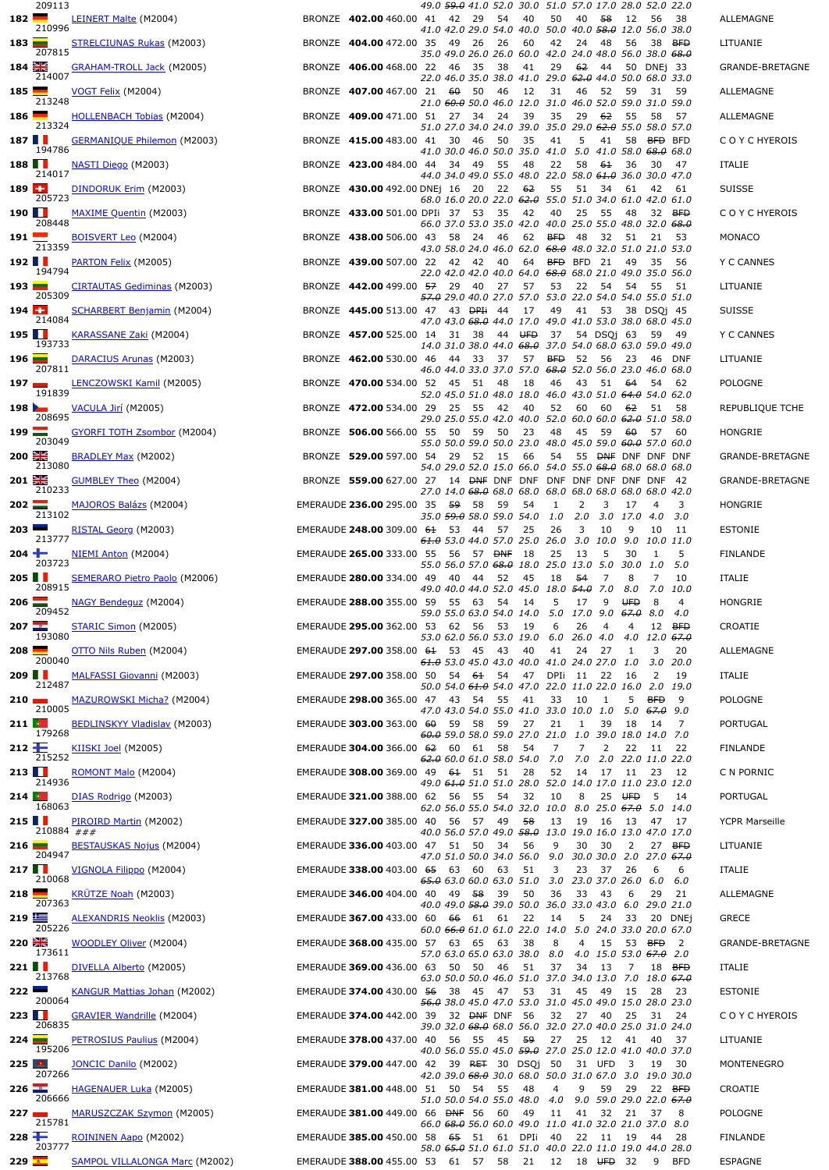|                        | 209113     |                                                                                         |                                                                          | 49.0 <del>59.0</del> 41.0 52.0 30.0 51.0 57.0 17.0 28.0 52.0 22.0       |     |               |                                  |          |                |                                                      |                   |                |                        |
|------------------------|------------|-----------------------------------------------------------------------------------------|--------------------------------------------------------------------------|-------------------------------------------------------------------------|-----|---------------|----------------------------------|----------|----------------|------------------------------------------------------|-------------------|----------------|------------------------|
| 182                    | 210996     | <b>LEINERT Malte</b> (M2004)                                                            | BRONZE 402.00 460.00 41 42 29                                            | 41.0 42.0 29.0 54.0 40.0 50.0 40.0 <del>58.0</del> 12.0 56.0 38.0       | 54  | 40            | 50                               | 40       | -58            | 12                                                   | 56                | -38            | ALLEMAGNE              |
| $183$ $\blacksquare$   |            | <b>STRELCIUNAS Rukas (M2003)</b>                                                        | BRONZE 404.00 472.00 35 49 26                                            |                                                                         | -26 | 60            | 42                               | 24       | 48             | 56                                                   | 38                | <b>BFD</b>     | LITUANIE               |
| $184$ $\frac{98}{215}$ | 207815     | <b>GRAHAM-TROLL Jack (M2005)</b>                                                        | BRONZE 406.00 468.00 22 46 35                                            | 35.0 49.0 26.0 26.0 60.0 42.0 24.0 48.0 56.0 38.0 <del>68.0</del>       | 38  | 41            | 29                               | 62       | 44             |                                                      | 50 DNEj 33        |                | GRANDE-BRETAGNE        |
| $185$ $\blacksquare$   | 214007     | VOGT Felix (M2004)                                                                      | BRONZE 407.00 467.00 21 60 50                                            | 22.0 46.0 35.0 38.0 41.0 29.0 <del>62.0</del> 44.0 50.0 68.0 33.0       | 46  | 12            | 31                               | 46       | 52             | 59                                                   | 31                | - 59           | ALLEMAGNE              |
| 186                    | 213248     | <b>HOLLENBACH Tobias (M2004)</b>                                                        | BRONZE 409.00 471.00 51 27 34                                            | 21.0 60.0 50.0 46.0 12.0 31.0 46.0 52.0 59.0 31.0 59.0                  | 24  | 39            | 35                               | 29       | 62             | 55                                                   | 58                | 57             | ALLEMAGNE              |
| 187 $\blacksquare$     | 213324     | <b>GERMANIQUE Philemon</b> (M2003)                                                      | BRONZE 415.00 483.00 41 30                                               | 51.0 27.0 34.0 24.0 39.0 35.0 29.0 <del>62.0</del> 55.0 58.0 57.0<br>46 | 50  | 35            | 41                               | 5        | 41             | 58                                                   | BED BFD           |                | C O Y C HYEROIS        |
|                        | 194786     |                                                                                         |                                                                          | 41.0 30.0 46.0 50.0 35.0 41.0 5.0 41.0 58.0 68.0 68.0                   |     |               |                                  |          |                |                                                      |                   |                |                        |
| $188$ $\blacksquare$   | 214017     | NASTI Diego (M2003)                                                                     | BRONZE 423.00 484.00 44 34 49                                            | 44.0 34.0 49.0 55.0 48.0 22.0 58.0 <del>61.0</del> 36.0 30.0 47.0       | 55  | 48            | 22                               | 58       | 61             | 36                                                   | -30               | - 47           | <b>ITALIE</b>          |
| 189E                   | 205723     | DINDORUK Erim (M2003)                                                                   | BRONZE 430.00 492.00 DNEi 16 20 22                                       | 68.0 16.0 20.0 22.0 <del>62.0</del> 55.0 51.0 34.0 61.0 42.0 61.0       |     | - 62          | 55                               | 51       | 34             | 61                                                   | 42                | 61             | <b>SUISSE</b>          |
| $190$ $\blacksquare$   | 208448     | MAXIME Quentin (M2003)                                                                  | BRONZE 433.00 501.00 DPIi 37 53                                          | 66.0 37.0 53.0 35.0 42.0 40.0 25.0 55.0 48.0 32.0 <del>68.0</del>       | 35  | - 42          | 40                               | 25       | - 55           | 48                                                   | 32 BFD            |                | C O Y C HYEROIS        |
| $191$ –                | 213359     | <b>BOISVERT Leo</b> (M2004)                                                             | BRONZE 438.00 506.00 43 58 24                                            | 43.0 58.0 24.0 46.0 62.0 <del>68.0</del> 48.0 32.0 51.0 21.0 53.0       | 46  |               | 62 BFD 48                        |          | -32            |                                                      | 51 21 53          |                | MONACO                 |
| 192                    | 194794     | PARTON Felix (M2005)                                                                    | BRONZE 439.00 507.00 22 42 42 40                                         | 22.0 42.0 42.0 40.0 64.0 <del>68.0</del> 68.0 21.0 49.0 35.0 56.0       |     | 64            | BFD BFD 21                       |          |                | 49                                                   | -35               | 56             | Y C CANNES             |
| 193                    | 205309     | CIRTAUTAS Gediminas (M2003)                                                             | BRONZE 442.00 499.00 57 29 40                                            | 57.0 29.0 40.0 27.0 57.0 53.0 22.0 54.0 54.0 55.0 51.0                  | 27  | 57            | 53                               | 22       | - 54           | 54 55                                                |                   | - 51           | LITUANIE               |
| $194 -$                | 214084     | <b>SCHARBERT Benjamin (M2004)</b>                                                       | BRONZE 445.00 513.00 47 43 DPH 44                                        | 47.0 43.0 <del>68.0</del> 44.0 17.0 49.0 41.0 53.0 38.0 68.0 45.0       |     | 17            | 49                               | 41       | - 53           |                                                      | 38 DSQ1 45        |                | <b>SUISSE</b>          |
| $195$ $\blacksquare$   | 193733     | KARASSANE Zaki (M2004)                                                                  | BRONZE 457.00 525.00 14 31 38 44 UFD                                     |                                                                         |     |               | 37                               |          |                | 54 DSQi 63 59 49                                     |                   |                | Y C CANNES             |
| 196                    |            | DARACIUS Arunas (M2003)                                                                 | BRONZE 462.00 530.00 46 44                                               | 14.0 31.0 38.0 44.0 68.0 37.0 54.0 68.0 63.0 59.0 49.0<br>-33           | 37  | 57            | <b>BFD</b>                       | 52       | 56             | 23                                                   | -46               | <b>DNF</b>     | LITUANIE               |
| 197                    | 207811     | <b>LENCZOWSKI Kamil (M2005)</b>                                                         | BRONZE 470.00 534.00 52 45 51                                            | 46.0 44.0 33.0 37.0 57.0 <del>68.0</del> 52.0 56.0 23.0 46.0 68.0       | 48  | 18            | 46                               | 43       | - 51           | 64                                                   | 54 62             |                | <b>POLOGNE</b>         |
| 198                    | 191839     | VACULA Jirí (M2005)                                                                     | BRONZE 472.00 534.00 29 25 55                                            | 52.0 45.0 51.0 48.0 18.0 46.0 43.0 51.0 64.0 54.0 62.0                  | 42  | 40            | 52                               | 60       | 60             | 62                                                   | 51                | 58             | REPUBLIQUE TCHE        |
| $199 \equiv$           | 208695     | <b>GYORFI TOTH Zsombor (M2004)</b>                                                      | BRONZE 506.00 566.00 55 50 59                                            | 29.0 25.0 55.0 42.0 40.0 52.0 60.0 60.0 62.0 51.0 58.0                  | 50  | 23            | 48                               | 45       | 59             | 60                                                   | 57 60             |                | HONGRIE                |
| $200 - 26$             | 203049     | BRADLEY Max (M2002)                                                                     | BRONZE 529.00 597.00 54 29 52 15                                         | 55.0 50.0 59.0 50.0 23.0 48.0 45.0 59.0 <del>60.0</del> 57.0 60.0       |     | 66            | 54                               |          |                | 55 DNF DNF DNF DNF                                   |                   |                | GRANDE-BRETAGNE        |
| $201 +$                | 213080     | <b>GUMBLEY Theo</b> (M2004)                                                             | BRONZE 559.00 627.00 27 14 <del>DNF</del> DNF DNF DNF DNF DNF DNF DNF 42 | 54.0 29.0 52.0 15.0 66.0 54.0 55.0 <del>68.0</del> 68.0 68.0 68.0       |     |               |                                  |          |                |                                                      |                   |                | <b>GRANDE-BRETAGNE</b> |
| $202 \equiv$           | 210233     | MAJOROS Balázs (M2004)                                                                  | EMERAUDE 236.00 295.00 35 59 58                                          | 27.0 14.0 <del>68.0</del> 68.0 68.0 68.0 68.0 68.0 68.0 68.0 42.0       | 59  | 54            | 1                                | 2        | 3              | 17                                                   | 4                 | 3              | HONGRIE                |
| $203$ $\blacksquare$   | 213102     | RISTAL Georg (M2003)                                                                    | EMERAUDE 248.00 309.00 61 53 44                                          | 35.0 <del>59.0</del> 58.0 59.0 54.0                                     | 57  | 25            | 1.0<br>26                        | 2.0<br>3 | 10             | 3.0 17.0 4.0<br>9                                    | 10                | 3.0<br>-11     | <b>ESTONIE</b>         |
| 204                    | 213777     | NIEMI Anton (M2004)                                                                     | EMERAUDE 265.00 333.00 55 56 57 DNF 18                                   | 61.0 53.0 44.0 57.0 25.0 26.0 3.0 10.0 9.0 10.0 11.0                    |     |               | 25                               | 13       | 5              | 30                                                   | -1                | 5              | <b>FINLANDE</b>        |
| 205 $\blacksquare$     | 203723     |                                                                                         | EMERAUDE 280.00 334.00 49 40 44                                          | 55.0 56.0 57.0 68.0 18.0                                                | 52  | 45            | 25.0 13.0<br>18                  | 54       | 5.0<br>7       | 30.0 1.0<br>8                                        | 7                 | 5.0<br>10      |                        |
| $206$ $\blacksquare$   | 208915     | SEMERARO Pietro Paolo (M2006)                                                           | EMERAUDE 288.00 355.00 59 55 63 54                                       | 49.0 40.0 44.0 52.0 45.0 18.0 54.0 7.0                                  |     |               | 5                                | 17       | 9              | <b>UFD</b>                                           | 8.0 7.0 10.0<br>8 | 4              | ITALIE<br>HONGRIE      |
| 207                    | 209452     | <b>NAGY Bendeguz</b> (M2004)                                                            |                                                                          | 59.0 55.0 63.0 54.0 14.0 5.0 17.0 9.0 67.0 8.0 4.0                      |     | - 14          |                                  |          |                |                                                      |                   |                |                        |
|                        | 193080     | STARIC Simon (M2005)                                                                    | EMERAUDE 295.00 362.00 53 62 56 53 19                                    | 53.0 62.0 56.0 53.0 19.0 6.0 26.0 4.0 4.0 12.0 67.0                     |     |               | - 6                              | 26       | $\overline{4}$ |                                                      | 4 12 BFD          |                | CROATIE                |
| $208$ $\blacksquare$   | 200040     | OTTO Nils Ruben (M2004)                                                                 | EMERAUDE 297.00 358.00 61 53 45                                          | 61.0 53.0 45.0 43.0 40.0 41.0 24.0 27.0 1.0 3.0 20.0                    | 43  | -40           | 41                               | 24       | 27             | 1                                                    | 3                 | 20             | ALLEMAGNE              |
| 209 $\blacksquare$     | 212487     | <b>MALFASSI Giovanni</b> (M2003)                                                        | EMERAUDE 297.00 358.00 50 54 61 54                                       | 50.0 54.0 61.0 54.0 47.0 22.0 11.0 22.0 16.0 2.0 19.0                   |     | 47 DPIi 11 22 |                                  |          |                | 16                                                   | -2                | 19             | ITALIE                 |
| 210                    | 210005     | MAZUROWSKI Micha? (M2004)                                                               | EMERAUDE 298.00 365.00 47 43 54 55                                       | 47.0 43.0 54.0 55.0 41.0 33.0 10.0 1.0                                  |     | - 41          | 33                               | 10       | 1              | 5<br>5.0 <del>67.0</del> 9.0                         | <b>BFD</b>        | 9              | POLOGNE                |
| 211 $\bullet$          | 179268     | <b>BEDLINSKYY Vladislav</b> (M2003)                                                     | EMERAUDE 303.00 363.00 60 59 58                                          | 60.0 59.0 58.0 59.0 27.0 21.0 1.0 39.0 18.0 14.0 7.0                    | 59  | - 27          | 21                               | 1        | 39             | 18                                                   | - 14              | 7              | PORTUGAL               |
| $212 +$                | 215252     | KIISKI Joel (M2005)                                                                     | EMERAUDE 304.00 366.00 62 60 61                                          | 62.0 60.0 61.0 58.0 54.0                                                | 58  | 54            | 7<br>7.0 7.0 2.0 22.0 11.0 22.0  | 7        | 2              |                                                      | 22 11 22          |                | <b>FINLANDE</b>        |
| 213 $\blacksquare$     | 214936     | ROMONT Malo (M2004)                                                                     | EMERAUDE 308.00 369.00 49 61 51 51                                       | 49.0 <del>61.0</del> 51.0 51.0 28.0 52.0 14.0 17.0 11.0 23.0 12.0       |     | 28            |                                  | 52 14 17 |                |                                                      | 11 23 12          |                | C N PORNIC             |
| $214$ $\bullet$        | 168063     | DIAS Rodrigo (M2003)                                                                    | EMERAUDE 321.00 388.00 62 56 55 54                                       | 62.0 56.0 55.0 54.0 32.0 10.0 8.0 25.0 <del>67.0</del> 5.0 14.0         |     | 32            | 10                               | 8        |                | 25 UFD                                               | - 5               | -14            | <b>PORTUGAL</b>        |
| 215 $\blacksquare$     | 210884 ### | PIROIRD Martin (M2002)                                                                  | EMERAUDE 327.00 385.00 40 56 57 49 58                                    | 40.0 56.0 57.0 49.0 <del>58.0</del> 13.0 19.0 16.0 13.0 47.0 17.0       |     |               | 13                               | 19       |                | 16 13 47 17                                          |                   |                | <b>YCPR Marseille</b>  |
| 216                    | 204947     | BESTAUSKAS Nojus (M2004)                                                                | EMERAUDE 336.00 403.00 47 51 50 34                                       | 47.0 51.0 50.0 34.0 56.0                                                |     | 56            | 9<br>9.0 30.0 30.0 2.0 27.0 67.0 | 30       | -30            |                                                      | 2 27 BFD          |                | LITUANIE               |
| 217 $\blacksquare$     | 210068     | VIGNOLA Filippo (M2004)                                                                 | EMERAUDE 338.00 403.00 65 63 60                                          | <del>65.0</del> 63.0 60.0 63.0 51.0 3.0 23.0 37.0 26.0 6.0 6.0          | 63  | 51            | 3                                | 23       | 37             | 26                                                   | 6                 | 6              | ITALIE                 |
| 218                    | 207363     | <b>KRÜTZE Noah (M2003)</b>                                                              | EMERAUDE 346.00 404.00 40 49 58                                          |                                                                         | 39  | 50            | 36                               | 33       | - 43           | 6                                                    | 29 21             |                | ALLEMAGNE              |
| 219 三                  | 205226     | <b>ALEXANDRIS Neoklis</b> (M2003)                                                       | EMERAUDE 367.00 433.00 60 66 61 61                                       | 40.0 49.0 58.0 39.0 50.0 36.0 33.0 43.0 6.0 29.0 21.0                   |     | 22            | 14                               | 5        | 24             | 33                                                   |                   | 20 DNEi        | <b>GRECE</b>           |
| $220$ $\frac{12}{10}$  | 173611     | WOODLEY Oliver (M2004)                                                                  | EMERAUDE 368.00 435.00 57 63 65                                          | 60.0 <del>66.0</del> 61.0 61.0 22.0 14.0 5.0 24.0 33.0 20.0 67.0        | 63  | -38           | 8                                | 4        | 15             |                                                      | 53 BFD            | $\overline{2}$ | GRANDE-BRETAGNE        |
| 221 $\blacksquare$     |            | DIVELLA Alberto (M2005)                                                                 | EMERAUDE 369.00 436.00 63 50 50                                          | 57.0 63.0 65.0 63.0 38.0 8.0 4.0 15.0 53.0 <del>67.0</del> 2.0          | 46  | 51            | 37                               | 34 13    |                | 7                                                    |                   | 18 BFD         | ITALIE                 |
| $222 -$                | 213768     | <b>KANGUR Mattias Johan</b> (M2002)                                                     | EMERAUDE 374.00 430.00 56 38 45 47                                       | 63.0 50.0 50.0 46.0 51.0 37.0 34.0 13.0 7.0 18.0 <del>67.0</del>        |     | 53            | 31                               | 45       | 49 15          |                                                      | 28                | 23             | ESTONIE                |
| 223                    | 200064     | <b>GRAVIER Wandrille</b> (M2004)                                                        | EMERAUDE 374.00 442.00 39 32 DNF DNF 56                                  | 56.0 38.0 45.0 47.0 53.0 31.0 45.0 49.0 15.0 28.0 23.0                  |     |               | 32                               |          | 27 40          | 25                                                   | 31 24             |                | COYCHYEROIS            |
| 224                    | 206835     | PETROSIUS Paulius (M2004)                                                               | EMERAUDE 378.00 437.00 40 56 55 45 59                                    | 39.0 32.0 <del>68.0</del> 68.0 56.0 32.0 27.0 40.0 25.0 31.0 24.0       |     |               |                                  |          |                | 27  25  12  41  40  37                               |                   |                | LITUANIE               |
| $225$ $\Box$           | 195206     | JONCIC Danilo (M2002)                                                                   | EMERAUDE 379.00 447.00 42 39 RET 30 DSQj 50                              | 40.0 56.0 55.0 45.0 59.0 27.0 25.0 12.0 41.0 40.0 37.0                  |     |               |                                  | 31 UFD   |                | $\overline{\mathbf{3}}$                              | 19 30             |                | MONTENEGRO             |
| 226                    | 207266     | HAGENAUER Luka (M2005)                                                                  | EMERAUDE 381.00 448.00 51 50 54 55 48                                    | 42.0 39.0 <del>68.0</del> 30.0 68.0 50.0 31.0 67.0 3.0 19.0 30.0        |     |               | 4                                | 9        | 59             |                                                      | 29 22 BFD         |                | CROATIE                |
| 227                    | 206666     | MARUSZCZAK Szymon (M2005)                                                               | EMERAUDE 381.00 449.00 66 DNF 56 60                                      | 51.0 50.0 54.0 55.0 48.0                                                |     | 49            | 4.0                              |          |                | 9.0 59.0 29.0 22.0 <del>67.0</del><br>11 41 32 21 37 |                   | 8              | <b>POLOGNE</b>         |
| 228 $+$                | 215781     | ROININEN Aapo (M2002)                                                                   | EMERAUDE 385.00 450.00 58 65 51 61 DPIi                                  | 66.0 <del>68.0</del> 56.0 60.0 49.0 11.0 41.0 32.0 21.0 37.0 8.0        |     |               | - 40                             | 22 11    |                |                                                      |                   |                | <b>FINLANDE</b>        |
| $229$ $\Box$           | 203777     | SAMPOL VILLALONGA Marc (M2002) EMERAUDE 388.00 455.00 53 61 57 58 21 12 18 UFD 32 9 BFD |                                                                          | 58.0 65.0 51.0 61.0 51.0 40.0 22.0 11.0 19.0 44.0 28.0                  |     |               |                                  |          |                |                                                      |                   |                | <b>ESPAGNE</b>         |
|                        |            |                                                                                         |                                                                          |                                                                         |     |               |                                  |          |                |                                                      |                   |                |                        |